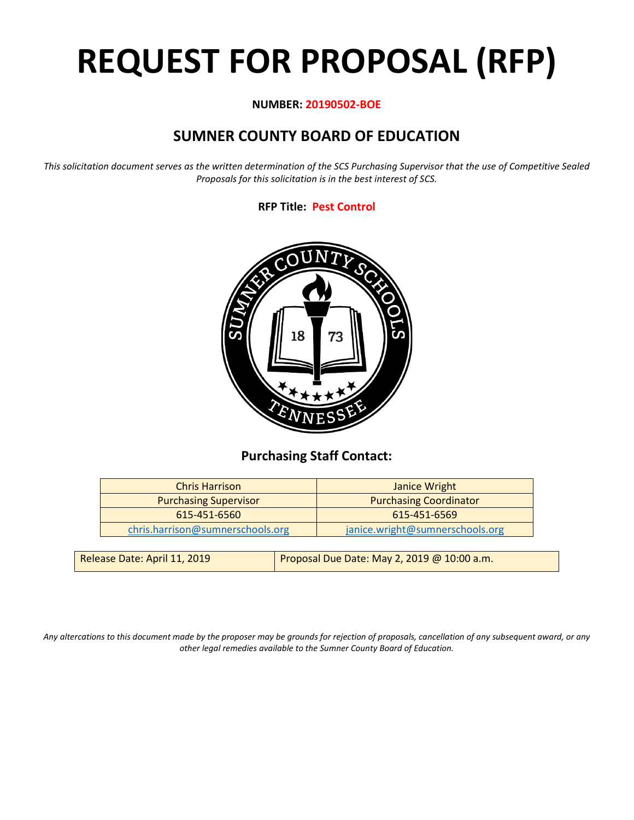# **REQUEST FOR PROPOSAL (RFP)**

# **NUMBER: 20190502-BOE**

# **SUMNER COUNTY BOARD OF EDUCATION**

*This solicitation document serves as the written determination of the SCS Purchasing Supervisor that the use of Competitive Sealed Proposals for this solicitation is in the best interest of SCS.*

# **RFP Title: Pest Control**



# **Purchasing Staff Contact:**

| <b>Chris Harrison</b>                                         | Janice Wright                   |  |
|---------------------------------------------------------------|---------------------------------|--|
| <b>Purchasing Coordinator</b><br><b>Purchasing Supervisor</b> |                                 |  |
| 615-451-6560                                                  | 615-451-6569                    |  |
| chris.harrison@sumnerschools.org                              | janice.wright@sumnerschools.org |  |
|                                                               |                                 |  |

| Release Date: April 11, 2019 | Proposal Due Date: May 2, 2019 @ 10:00 a.m. |
|------------------------------|---------------------------------------------|
|                              |                                             |

*Any altercations to this document made by the proposer may be grounds for rejection of proposals, cancellation of any subsequent award, or any other legal remedies available to the Sumner County Board of Education.*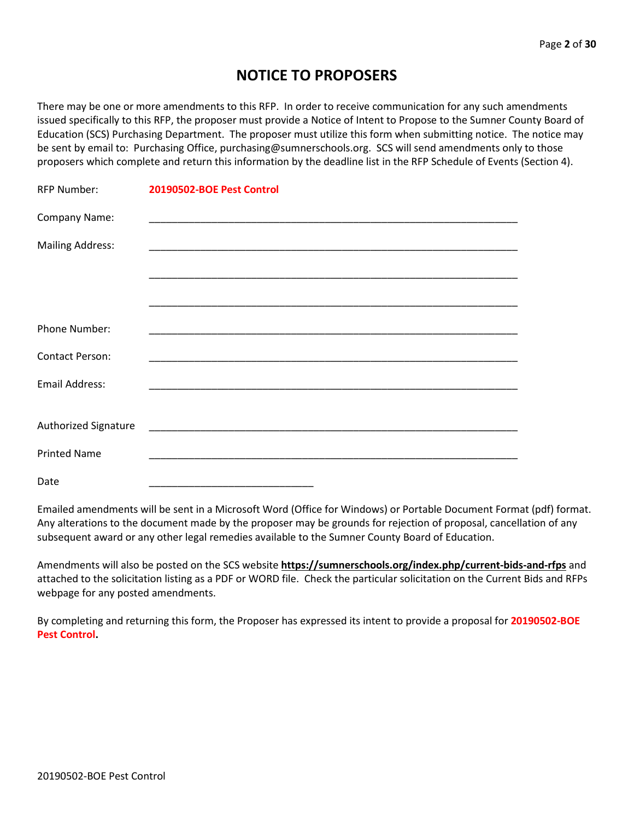# **NOTICE TO PROPOSERS**

There may be one or more amendments to this RFP. In order to receive communication for any such amendments issued specifically to this RFP, the proposer must provide a Notice of Intent to Propose to the Sumner County Board of Education (SCS) Purchasing Department. The proposer must utilize this form when submitting notice. The notice may be sent by email to: Purchasing Office, purchasing@sumnerschools.org. SCS will send amendments only to those proposers which complete and return this information by the deadline list in the RFP Schedule of Events (Section 4).

| <b>RFP Number:</b>      | 20190502-BOE Pest Control |
|-------------------------|---------------------------|
| Company Name:           |                           |
| <b>Mailing Address:</b> |                           |
|                         |                           |
|                         |                           |
| Phone Number:           |                           |
| <b>Contact Person:</b>  |                           |
| <b>Email Address:</b>   |                           |
| Authorized Signature    |                           |
| <b>Printed Name</b>     |                           |
| Date                    |                           |

Emailed amendments will be sent in a Microsoft Word (Office for Windows) or Portable Document Format (pdf) format. Any alterations to the document made by the proposer may be grounds for rejection of proposal, cancellation of any subsequent award or any other legal remedies available to the Sumner County Board of Education.

Amendments will also be posted on the SCS website **https://sumnerschools.org/index.php/current-bids-and-rfps** and attached to the solicitation listing as a PDF or WORD file. Check the particular solicitation on the Current Bids and RFPs webpage for any posted amendments.

By completing and returning this form, the Proposer has expressed its intent to provide a proposal for **20190502-BOE Pest Control.**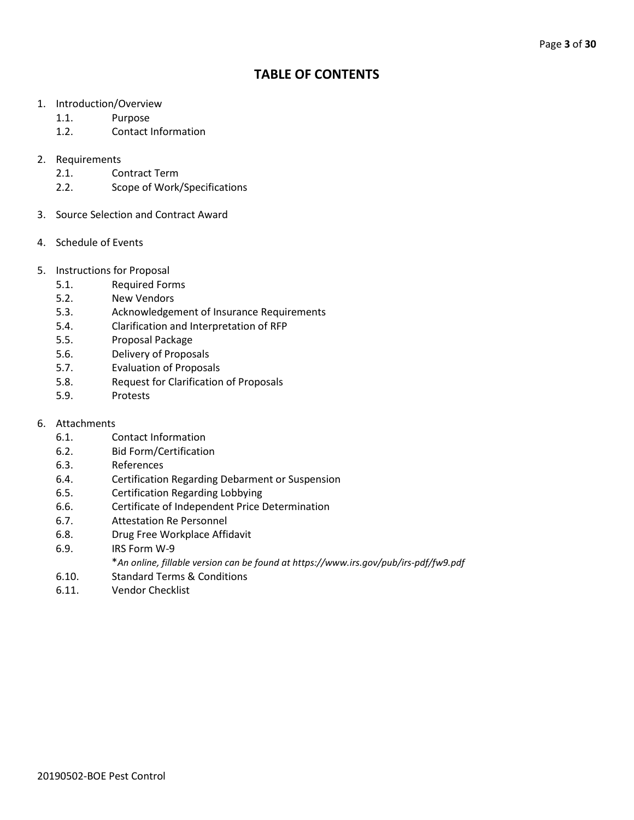# **TABLE OF CONTENTS**

- 1. Introduction/Overview
	- 1.1. Purpose
	- 1.2. Contact Information

## 2. Requirements

- 2.1. Contract Term
- 2.2. Scope of Work/Specifications
- 3. Source Selection and Contract Award
- 4. Schedule of Events
- 5. Instructions for Proposal
	- 5.1. Required Forms
	- 5.2. New Vendors
	- 5.3. Acknowledgement of Insurance Requirements
	- 5.4. Clarification and Interpretation of RFP
	- 5.5. Proposal Package
	- 5.6. Delivery of Proposals
	- 5.7. Evaluation of Proposals
	- 5.8. Request for Clarification of Proposals
	- 5.9. Protests
- 6. Attachments
	- 6.1. Contact Information
	- 6.2. Bid Form/Certification
	- 6.3. References
	- 6.4. Certification Regarding Debarment or Suspension
	- 6.5. Certification Regarding Lobbying
	- 6.6. Certificate of Independent Price Determination
	- 6.7. Attestation Re Personnel
	- 6.8. Drug Free Workplace Affidavit
	- 6.9. IRS Form W-9
		- \**An online, fillable version can be found at https://www.irs.gov/pub/irs-pdf/fw9.pdf*
	- 6.10. Standard Terms & Conditions
	- 6.11. Vendor Checklist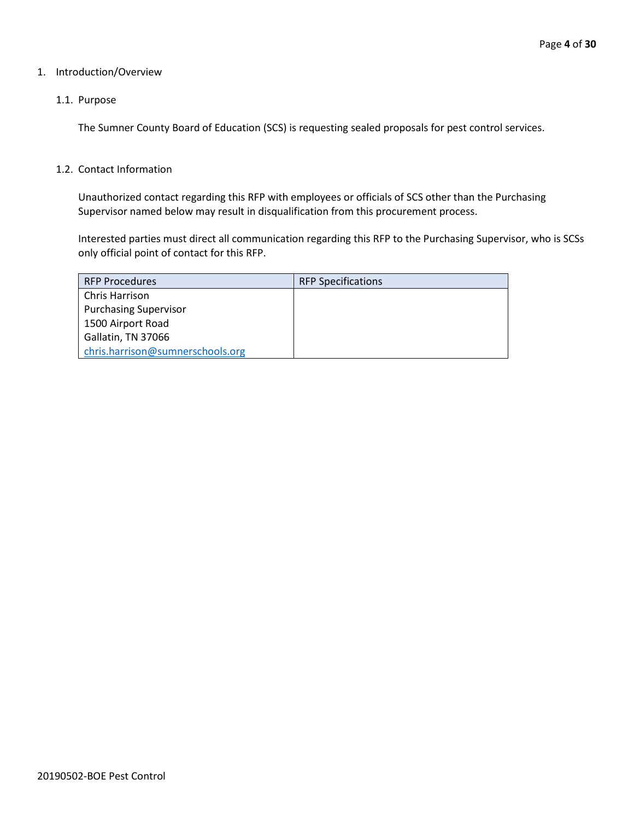#### 1. Introduction/Overview

#### 1.1. Purpose

The Sumner County Board of Education (SCS) is requesting sealed proposals for pest control services.

#### 1.2. Contact Information

Unauthorized contact regarding this RFP with employees or officials of SCS other than the Purchasing Supervisor named below may result in disqualification from this procurement process.

Interested parties must direct all communication regarding this RFP to the Purchasing Supervisor, who is SCSs only official point of contact for this RFP.

| <b>RFP Procedures</b>            | <b>RFP Specifications</b> |
|----------------------------------|---------------------------|
| Chris Harrison                   |                           |
| <b>Purchasing Supervisor</b>     |                           |
| 1500 Airport Road                |                           |
| Gallatin, TN 37066               |                           |
| chris.harrison@sumnerschools.org |                           |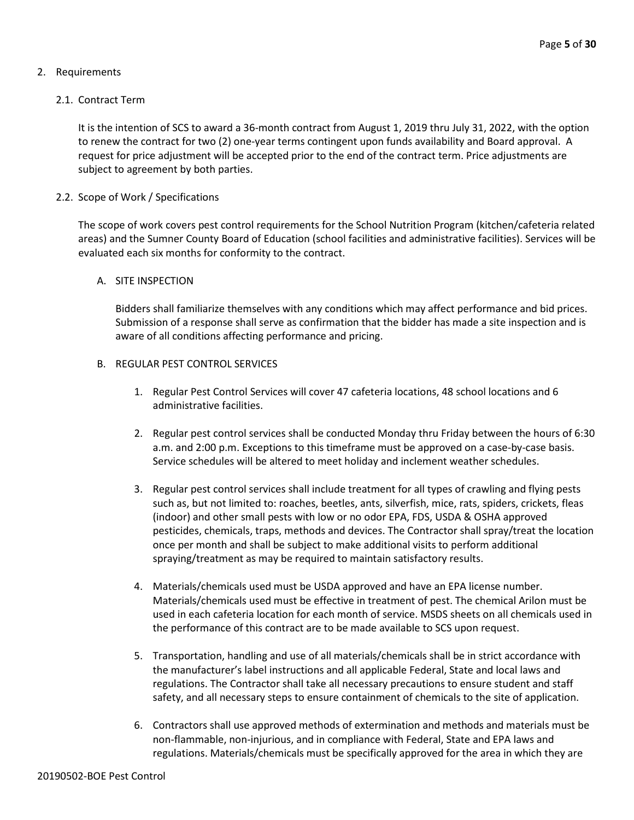# 2. Requirements

## 2.1. Contract Term

It is the intention of SCS to award a 36-month contract from August 1, 2019 thru July 31, 2022, with the option to renew the contract for two (2) one-year terms contingent upon funds availability and Board approval. A request for price adjustment will be accepted prior to the end of the contract term. Price adjustments are subject to agreement by both parties.

## 2.2. Scope of Work / Specifications

The scope of work covers pest control requirements for the School Nutrition Program (kitchen/cafeteria related areas) and the Sumner County Board of Education (school facilities and administrative facilities). Services will be evaluated each six months for conformity to the contract.

#### A. SITE INSPECTION

Bidders shall familiarize themselves with any conditions which may affect performance and bid prices. Submission of a response shall serve as confirmation that the bidder has made a site inspection and is aware of all conditions affecting performance and pricing.

## B. REGULAR PEST CONTROL SERVICES

- 1. Regular Pest Control Services will cover 47 cafeteria locations, 48 school locations and 6 administrative facilities.
- 2. Regular pest control services shall be conducted Monday thru Friday between the hours of 6:30 a.m. and 2:00 p.m. Exceptions to this timeframe must be approved on a case-by-case basis. Service schedules will be altered to meet holiday and inclement weather schedules.
- 3. Regular pest control services shall include treatment for all types of crawling and flying pests such as, but not limited to: roaches, beetles, ants, silverfish, mice, rats, spiders, crickets, fleas (indoor) and other small pests with low or no odor EPA, FDS, USDA & OSHA approved pesticides, chemicals, traps, methods and devices. The Contractor shall spray/treat the location once per month and shall be subject to make additional visits to perform additional spraying/treatment as may be required to maintain satisfactory results.
- 4. Materials/chemicals used must be USDA approved and have an EPA license number. Materials/chemicals used must be effective in treatment of pest. The chemical Arilon must be used in each cafeteria location for each month of service. MSDS sheets on all chemicals used in the performance of this contract are to be made available to SCS upon request.
- 5. Transportation, handling and use of all materials/chemicals shall be in strict accordance with the manufacturer's label instructions and all applicable Federal, State and local laws and regulations. The Contractor shall take all necessary precautions to ensure student and staff safety, and all necessary steps to ensure containment of chemicals to the site of application.
- 6. Contractors shall use approved methods of extermination and methods and materials must be non-flammable, non-injurious, and in compliance with Federal, State and EPA laws and regulations. Materials/chemicals must be specifically approved for the area in which they are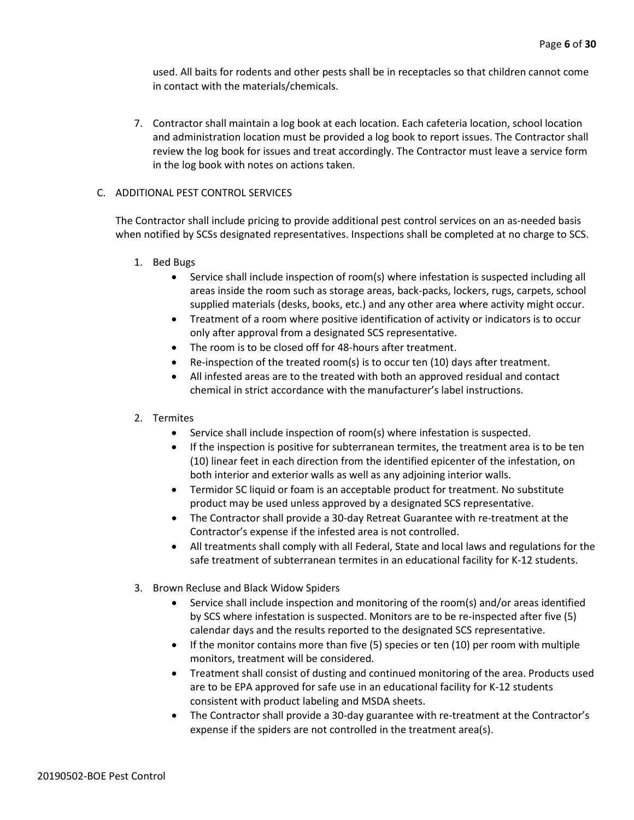used. All baits for rodents and other pests shall be in receptacles so that children cannot come in contact with the materials/chemicals.

7. Contractor shall maintain a log book at each location. Each cafeteria location, school location and administration location must be provided a log book to report issues. The Contractor shall review the log book for issues and treat accordingly. The Contractor must leave a service form in the log book with notes on actions taken.

#### C. ADDITIONAL PEST CONTROL SERVICES

The Contractor shall include pricing to provide additional pest control services on an as-needed basis when notified by SCSs designated representatives. Inspections shall be completed at no charge to SCS.

- 1. Bed Bugs
	- Service shall include inspection of room(s) where infestation is suspected including all areas inside the room such as storage areas, back-packs, lockers, rugs, carpets, school supplied materials (desks, books, etc.) and any other area where activity might occur.
	- Treatment of a room where positive identification of activity or indicators is to occur only after approval from a designated SCS representative.
	- The room is to be closed off for 48-hours after treatment.
	- Re-inspection of the treated room(s) is to occur ten (10) days after treatment.
	- All infested areas are to the treated with both an approved residual and contact chemical in strict accordance with the manufacturer's label instructions.

#### 2. Termites

- Service shall include inspection of room(s) where infestation is suspected.
- If the inspection is positive for subterranean termites, the treatment area is to be ten (10) linear feet in each direction from the identified epicenter of the infestation, on both interior and exterior walls as well as any adjoining interior walls.
- Termidor SC liquid or foam is an acceptable product for treatment. No substitute product may be used unless approved by a designated SCS representative.
- The Contractor shall provide a 30-day Retreat Guarantee with re-treatment at the Contractor's expense if the infested area is not controlled.
- All treatments shall comply with all Federal, State and local laws and regulations for the safe treatment of subterranean termites in an educational facility for K-12 students.
- 3. Brown Recluse and Black Widow Spiders
	- Service shall include inspection and monitoring of the room(s) and/or areas identified by SCS where infestation is suspected. Monitors are to be re-inspected after five (5) calendar days and the results reported to the designated SCS representative.
	- If the monitor contains more than five (5) species or ten (10) per room with multiple monitors, treatment will be considered.
	- Treatment shall consist of dusting and continued monitoring of the area. Products used are to be EPA approved for safe use in an educational facility for K-12 students consistent with product labeling and MSDA sheets.
	- The Contractor shall provide a 30-day guarantee with re-treatment at the Contractor's expense if the spiders are not controlled in the treatment area(s).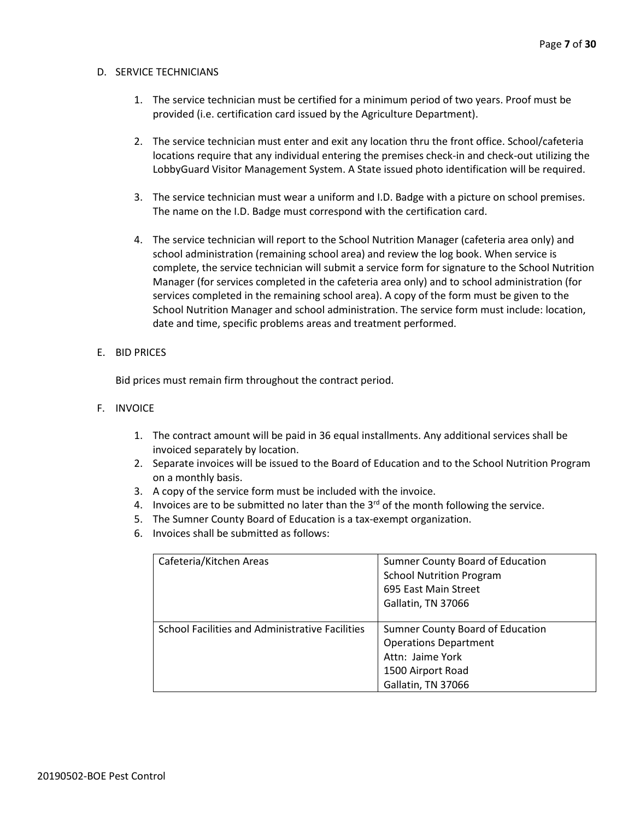#### D. SERVICE TECHNICIANS

- 1. The service technician must be certified for a minimum period of two years. Proof must be provided (i.e. certification card issued by the Agriculture Department).
- 2. The service technician must enter and exit any location thru the front office. School/cafeteria locations require that any individual entering the premises check-in and check-out utilizing the LobbyGuard Visitor Management System. A State issued photo identification will be required.
- 3. The service technician must wear a uniform and I.D. Badge with a picture on school premises. The name on the I.D. Badge must correspond with the certification card.
- 4. The service technician will report to the School Nutrition Manager (cafeteria area only) and school administration (remaining school area) and review the log book. When service is complete, the service technician will submit a service form for signature to the School Nutrition Manager (for services completed in the cafeteria area only) and to school administration (for services completed in the remaining school area). A copy of the form must be given to the School Nutrition Manager and school administration. The service form must include: location, date and time, specific problems areas and treatment performed.

#### E. BID PRICES

Bid prices must remain firm throughout the contract period.

- F. INVOICE
	- 1. The contract amount will be paid in 36 equal installments. Any additional services shall be invoiced separately by location.
	- 2. Separate invoices will be issued to the Board of Education and to the School Nutrition Program on a monthly basis.
	- 3. A copy of the service form must be included with the invoice.
	- 4. Invoices are to be submitted no later than the  $3^{rd}$  of the month following the service.
	- 5. The Sumner County Board of Education is a tax-exempt organization.
	- 6. Invoices shall be submitted as follows:

| Cafeteria/Kitchen Areas                         | Sumner County Board of Education<br><b>School Nutrition Program</b><br>695 East Main Street<br>Gallatin, TN 37066               |
|-------------------------------------------------|---------------------------------------------------------------------------------------------------------------------------------|
| School Facilities and Administrative Facilities | Sumner County Board of Education<br><b>Operations Department</b><br>Attn: Jaime York<br>1500 Airport Road<br>Gallatin, TN 37066 |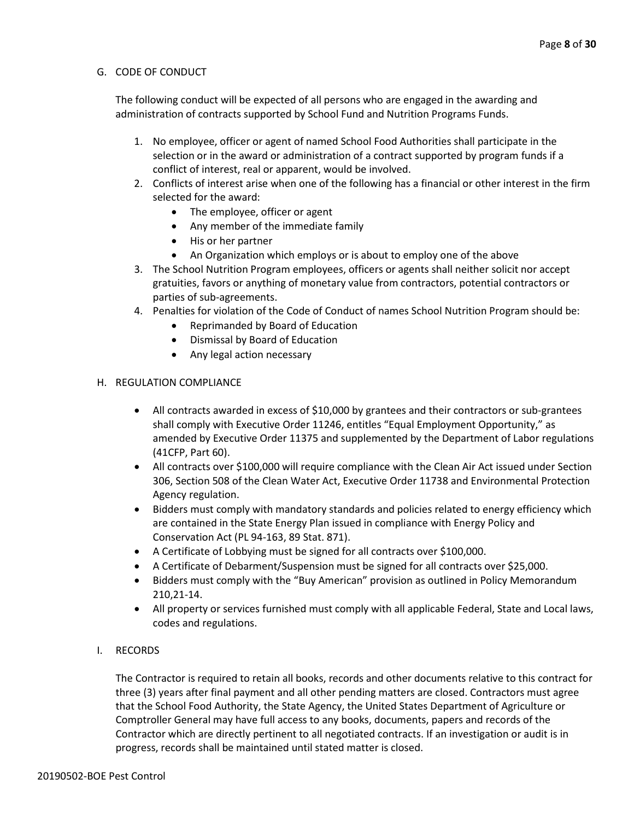#### G. CODE OF CONDUCT

The following conduct will be expected of all persons who are engaged in the awarding and administration of contracts supported by School Fund and Nutrition Programs Funds.

- 1. No employee, officer or agent of named School Food Authorities shall participate in the selection or in the award or administration of a contract supported by program funds if a conflict of interest, real or apparent, would be involved.
- 2. Conflicts of interest arise when one of the following has a financial or other interest in the firm selected for the award:
	- The employee, officer or agent
	- Any member of the immediate family
	- His or her partner
	- An Organization which employs or is about to employ one of the above
- 3. The School Nutrition Program employees, officers or agents shall neither solicit nor accept gratuities, favors or anything of monetary value from contractors, potential contractors or parties of sub-agreements.
- 4. Penalties for violation of the Code of Conduct of names School Nutrition Program should be:
	- Reprimanded by Board of Education
	- Dismissal by Board of Education
	- Any legal action necessary

#### H. REGULATION COMPLIANCE

- All contracts awarded in excess of \$10,000 by grantees and their contractors or sub-grantees shall comply with Executive Order 11246, entitles "Equal Employment Opportunity," as amended by Executive Order 11375 and supplemented by the Department of Labor regulations (41CFP, Part 60).
- All contracts over \$100,000 will require compliance with the Clean Air Act issued under Section 306, Section 508 of the Clean Water Act, Executive Order 11738 and Environmental Protection Agency regulation.
- Bidders must comply with mandatory standards and policies related to energy efficiency which are contained in the State Energy Plan issued in compliance with Energy Policy and Conservation Act (PL 94-163, 89 Stat. 871).
- A Certificate of Lobbying must be signed for all contracts over \$100,000.
- A Certificate of Debarment/Suspension must be signed for all contracts over \$25,000.
- Bidders must comply with the "Buy American" provision as outlined in Policy Memorandum 210,21-14.
- All property or services furnished must comply with all applicable Federal, State and Local laws, codes and regulations.
- I. RECORDS

The Contractor is required to retain all books, records and other documents relative to this contract for three (3) years after final payment and all other pending matters are closed. Contractors must agree that the School Food Authority, the State Agency, the United States Department of Agriculture or Comptroller General may have full access to any books, documents, papers and records of the Contractor which are directly pertinent to all negotiated contracts. If an investigation or audit is in progress, records shall be maintained until stated matter is closed.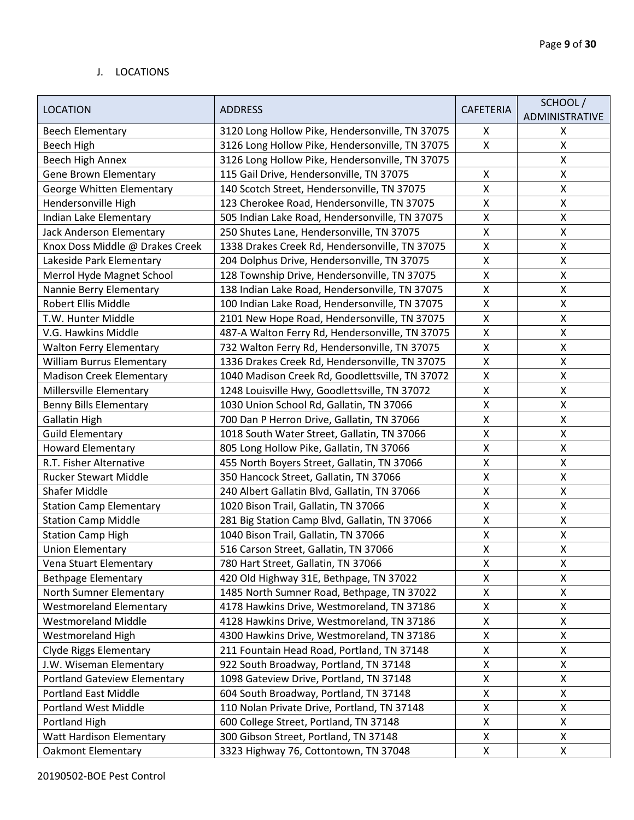#### J. LOCATIONS

|                                  |                                                 |                    | SCHOOL/            |
|----------------------------------|-------------------------------------------------|--------------------|--------------------|
| <b>LOCATION</b>                  | <b>ADDRESS</b>                                  | <b>CAFETERIA</b>   | ADMINISTRATIVE     |
| <b>Beech Elementary</b>          | 3120 Long Hollow Pike, Hendersonville, TN 37075 | X                  | X                  |
| Beech High                       | 3126 Long Hollow Pike, Hendersonville, TN 37075 | X                  | $\pmb{\mathsf{X}}$ |
| Beech High Annex                 | 3126 Long Hollow Pike, Hendersonville, TN 37075 |                    | $\pmb{\mathsf{X}}$ |
| <b>Gene Brown Elementary</b>     | 115 Gail Drive, Hendersonville, TN 37075        | Χ                  | $\pmb{\mathsf{X}}$ |
| George Whitten Elementary        | 140 Scotch Street, Hendersonville, TN 37075     | Χ                  | $\pmb{\mathsf{X}}$ |
| Hendersonville High              | 123 Cherokee Road, Hendersonville, TN 37075     | Χ                  | $\pmb{\mathsf{X}}$ |
| Indian Lake Elementary           | 505 Indian Lake Road, Hendersonville, TN 37075  | Χ                  | Χ                  |
| Jack Anderson Elementary         | 250 Shutes Lane, Hendersonville, TN 37075       | Χ                  | $\pmb{\mathsf{X}}$ |
| Knox Doss Middle @ Drakes Creek  | 1338 Drakes Creek Rd, Hendersonville, TN 37075  | Χ                  | $\pmb{\mathsf{X}}$ |
| Lakeside Park Elementary         | 204 Dolphus Drive, Hendersonville, TN 37075     | Χ                  | $\pmb{\mathsf{X}}$ |
| Merrol Hyde Magnet School        | 128 Township Drive, Hendersonville, TN 37075    | X                  | $\pmb{\mathsf{X}}$ |
| Nannie Berry Elementary          | 138 Indian Lake Road, Hendersonville, TN 37075  | Χ                  | $\pmb{\mathsf{X}}$ |
| Robert Ellis Middle              | 100 Indian Lake Road, Hendersonville, TN 37075  | Χ                  | $\pmb{\mathsf{X}}$ |
| T.W. Hunter Middle               | 2101 New Hope Road, Hendersonville, TN 37075    | Χ                  | $\pmb{\mathsf{X}}$ |
| V.G. Hawkins Middle              | 487-A Walton Ferry Rd, Hendersonville, TN 37075 | $\pmb{\mathsf{X}}$ | $\pmb{\mathsf{X}}$ |
| <b>Walton Ferry Elementary</b>   | 732 Walton Ferry Rd, Hendersonville, TN 37075   | Χ                  | $\pmb{\mathsf{X}}$ |
| <b>William Burrus Elementary</b> | 1336 Drakes Creek Rd, Hendersonville, TN 37075  | Χ                  | $\pmb{\mathsf{X}}$ |
| <b>Madison Creek Elementary</b>  | 1040 Madison Creek Rd, Goodlettsville, TN 37072 | $\pmb{\mathsf{X}}$ | $\pmb{\mathsf{X}}$ |
| Millersville Elementary          | 1248 Louisville Hwy, Goodlettsville, TN 37072   | Χ                  | $\pmb{\mathsf{X}}$ |
| <b>Benny Bills Elementary</b>    | 1030 Union School Rd, Gallatin, TN 37066        | Χ                  | $\pmb{\mathsf{X}}$ |
| Gallatin High                    | 700 Dan P Herron Drive, Gallatin, TN 37066      | Χ                  | $\pmb{\mathsf{X}}$ |
| <b>Guild Elementary</b>          | 1018 South Water Street, Gallatin, TN 37066     | X                  | $\pmb{\mathsf{X}}$ |
| <b>Howard Elementary</b>         | 805 Long Hollow Pike, Gallatin, TN 37066        | $\pmb{\mathsf{X}}$ | $\pmb{\mathsf{X}}$ |
| R.T. Fisher Alternative          | 455 North Boyers Street, Gallatin, TN 37066     | Χ                  | Χ                  |
| <b>Rucker Stewart Middle</b>     | 350 Hancock Street, Gallatin, TN 37066          | Χ                  | $\pmb{\mathsf{X}}$ |
| <b>Shafer Middle</b>             | 240 Albert Gallatin Blvd, Gallatin, TN 37066    | Χ                  | $\pmb{\mathsf{X}}$ |
| <b>Station Camp Elementary</b>   | 1020 Bison Trail, Gallatin, TN 37066            | $\pmb{\mathsf{X}}$ | $\pmb{\mathsf{X}}$ |
| <b>Station Camp Middle</b>       | 281 Big Station Camp Blvd, Gallatin, TN 37066   | Χ                  | $\pmb{\mathsf{X}}$ |
| <b>Station Camp High</b>         | 1040 Bison Trail, Gallatin, TN 37066            | X                  | $\pmb{\mathsf{X}}$ |
| <b>Union Elementary</b>          | 516 Carson Street, Gallatin, TN 37066           | Χ                  | $\pmb{\mathsf{X}}$ |
| Vena Stuart Elementary           | 780 Hart Street, Gallatin, TN 37066             | X                  | X                  |
| <b>Bethpage Elementary</b>       | 420 Old Highway 31E, Bethpage, TN 37022         | Χ                  | X                  |
| North Sumner Elementary          | 1485 North Sumner Road, Bethpage, TN 37022      | Χ                  | X                  |
| <b>Westmoreland Elementary</b>   | 4178 Hawkins Drive, Westmoreland, TN 37186      | X                  | X                  |
| <b>Westmoreland Middle</b>       | 4128 Hawkins Drive, Westmoreland, TN 37186      | X                  | Χ                  |
| <b>Westmoreland High</b>         | 4300 Hawkins Drive, Westmoreland, TN 37186      | Χ                  | $\pmb{\mathsf{X}}$ |
| Clyde Riggs Elementary           | 211 Fountain Head Road, Portland, TN 37148      | Χ                  | X                  |
| J.W. Wiseman Elementary          | 922 South Broadway, Portland, TN 37148          | Χ                  | X                  |
| Portland Gateview Elementary     | 1098 Gateview Drive, Portland, TN 37148         | Χ                  | $\pmb{\mathsf{X}}$ |
| <b>Portland East Middle</b>      | 604 South Broadway, Portland, TN 37148          | Χ                  | X                  |
| <b>Portland West Middle</b>      | 110 Nolan Private Drive, Portland, TN 37148     | Χ                  | X                  |
| Portland High                    | 600 College Street, Portland, TN 37148          | X                  | X                  |
| <b>Watt Hardison Elementary</b>  | 300 Gibson Street, Portland, TN 37148           | Χ                  | X                  |
| <b>Oakmont Elementary</b>        | 3323 Highway 76, Cottontown, TN 37048           | X                  | X                  |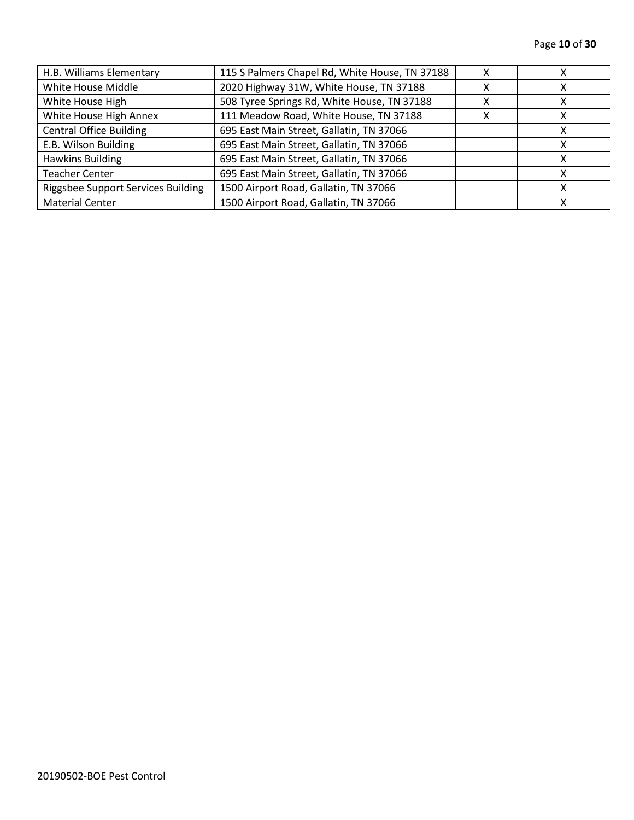| H.B. Williams Elementary           | 115 S Palmers Chapel Rd, White House, TN 37188 |   |  |
|------------------------------------|------------------------------------------------|---|--|
| White House Middle                 | 2020 Highway 31W, White House, TN 37188        | χ |  |
| White House High                   | 508 Tyree Springs Rd, White House, TN 37188    | x |  |
| White House High Annex             | 111 Meadow Road, White House, TN 37188         | х |  |
| <b>Central Office Building</b>     | 695 East Main Street, Gallatin, TN 37066       |   |  |
| E.B. Wilson Building               | 695 East Main Street, Gallatin, TN 37066       |   |  |
| <b>Hawkins Building</b>            | 695 East Main Street, Gallatin, TN 37066       |   |  |
| Teacher Center                     | 695 East Main Street, Gallatin, TN 37066       |   |  |
| Riggsbee Support Services Building | 1500 Airport Road, Gallatin, TN 37066          |   |  |
| <b>Material Center</b>             | 1500 Airport Road, Gallatin, TN 37066          |   |  |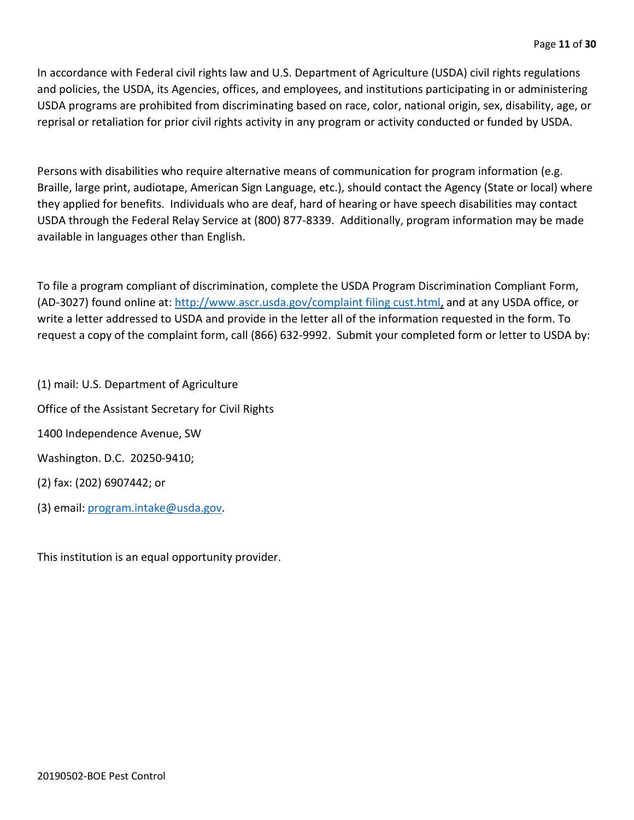In accordance with Federal civil rights law and U.S. Department of Agriculture (USDA) civil rights regulations and policies, the USDA, its Agencies, offices, and employees, and institutions participating in or administering USDA programs are prohibited from discriminating based on race, color, national origin, sex, disability, age, or reprisal or retaliation for prior civil rights activity in any program or activity conducted or funded by USDA.

Persons with disabilities who require alternative means of communication for program information (e.g. Braille, large print, audiotape, American Sign Language, etc.), should contact the Agency (State or local) where they applied for benefits. Individuals who are deaf, hard of hearing or have speech disabilities may contact USDA through the Federal Relay Service at (800) 877-8339. Additionally, program information may be made available in languages other than English.

To file a program compliant of discrimination, complete the USDA Program Discrimination Compliant Form, (AD-3027) found online at: [http://www.ascr.usda.gov/complaint filing cust.html,](http://www.ascr.usda.gov/complaint%20filing%20cust.html) and at any USDA office, or write a letter addressed to USDA and provide in the letter all of the information requested in the form. To request a copy of the complaint form, call (866) 632-9992. Submit your completed form or letter to USDA by:

(1) mail: U.S. Department of Agriculture Office of the Assistant Secretary for Civil Rights 1400 Independence Avenue, SW Washington. D.C. 20250-9410; (2) fax: (202) 6907442; or (3) email: [program.intake@usda.gov.](mailto:program.intake@usda.gov)

This institution is an equal opportunity provider.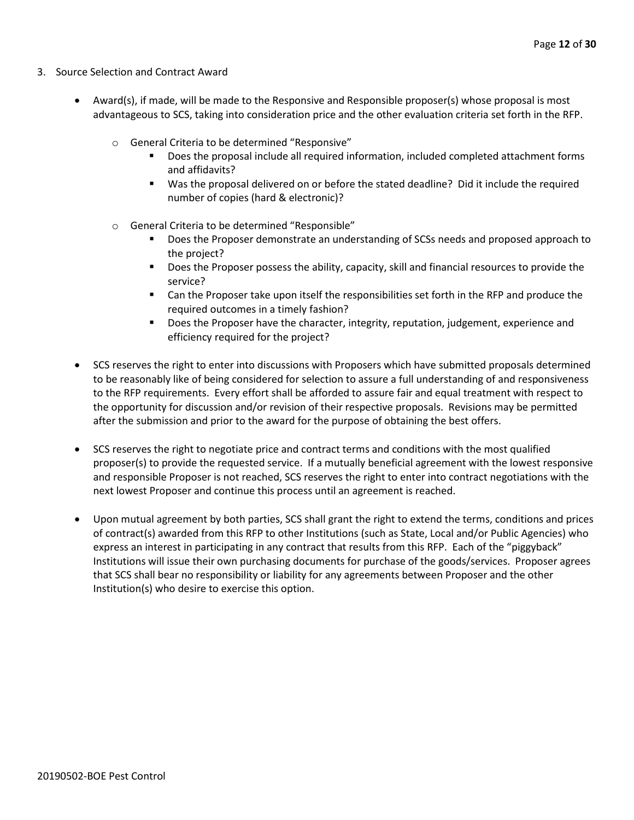- 3. Source Selection and Contract Award
	- Award(s), if made, will be made to the Responsive and Responsible proposer(s) whose proposal is most advantageous to SCS, taking into consideration price and the other evaluation criteria set forth in the RFP.
		- o General Criteria to be determined "Responsive"
			- Does the proposal include all required information, included completed attachment forms and affidavits?
			- Was the proposal delivered on or before the stated deadline? Did it include the required number of copies (hard & electronic)?
		- o General Criteria to be determined "Responsible"
			- Does the Proposer demonstrate an understanding of SCSs needs and proposed approach to the project?
			- **Does the Proposer possess the ability, capacity, skill and financial resources to provide the** service?
			- Can the Proposer take upon itself the responsibilities set forth in the RFP and produce the required outcomes in a timely fashion?
			- **Does the Proposer have the character, integrity, reputation, judgement, experience and** efficiency required for the project?
	- SCS reserves the right to enter into discussions with Proposers which have submitted proposals determined to be reasonably like of being considered for selection to assure a full understanding of and responsiveness to the RFP requirements. Every effort shall be afforded to assure fair and equal treatment with respect to the opportunity for discussion and/or revision of their respective proposals. Revisions may be permitted after the submission and prior to the award for the purpose of obtaining the best offers.
	- SCS reserves the right to negotiate price and contract terms and conditions with the most qualified proposer(s) to provide the requested service. If a mutually beneficial agreement with the lowest responsive and responsible Proposer is not reached, SCS reserves the right to enter into contract negotiations with the next lowest Proposer and continue this process until an agreement is reached.
	- Upon mutual agreement by both parties, SCS shall grant the right to extend the terms, conditions and prices of contract(s) awarded from this RFP to other Institutions (such as State, Local and/or Public Agencies) who express an interest in participating in any contract that results from this RFP. Each of the "piggyback" Institutions will issue their own purchasing documents for purchase of the goods/services. Proposer agrees that SCS shall bear no responsibility or liability for any agreements between Proposer and the other Institution(s) who desire to exercise this option.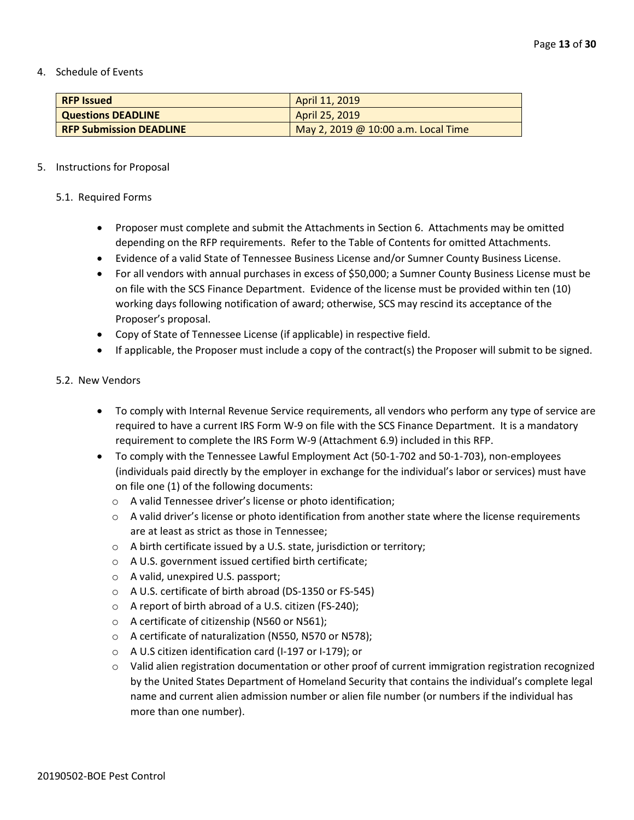4. Schedule of Events

| <b>RFP Issued</b>              | April 11, 2019                      |
|--------------------------------|-------------------------------------|
| <b>Questions DEADLINE</b>      | April 25, 2019                      |
| <b>RFP Submission DEADLINE</b> | May 2, 2019 @ 10:00 a.m. Local Time |

#### 5. Instructions for Proposal

#### 5.1. Required Forms

- Proposer must complete and submit the Attachments in Section 6. Attachments may be omitted depending on the RFP requirements. Refer to the Table of Contents for omitted Attachments.
- Evidence of a valid State of Tennessee Business License and/or Sumner County Business License.
- For all vendors with annual purchases in excess of \$50,000; a Sumner County Business License must be on file with the SCS Finance Department. Evidence of the license must be provided within ten (10) working days following notification of award; otherwise, SCS may rescind its acceptance of the Proposer's proposal.
- Copy of State of Tennessee License (if applicable) in respective field.
- If applicable, the Proposer must include a copy of the contract(s) the Proposer will submit to be signed.

#### 5.2. New Vendors

- To comply with Internal Revenue Service requirements, all vendors who perform any type of service are required to have a current IRS Form W-9 on file with the SCS Finance Department. It is a mandatory requirement to complete the IRS Form W-9 (Attachment 6.9) included in this RFP.
- To comply with the Tennessee Lawful Employment Act (50-1-702 and 50-1-703), non-employees (individuals paid directly by the employer in exchange for the individual's labor or services) must have on file one (1) of the following documents:
	- o A valid Tennessee driver's license or photo identification;
	- $\circ$  A valid driver's license or photo identification from another state where the license requirements are at least as strict as those in Tennessee;
	- o A birth certificate issued by a U.S. state, jurisdiction or territory;
	- o A U.S. government issued certified birth certificate;
	- o A valid, unexpired U.S. passport;
	- o A U.S. certificate of birth abroad (DS-1350 or FS-545)
	- o A report of birth abroad of a U.S. citizen (FS-240);
	- o A certificate of citizenship (N560 or N561);
	- o A certificate of naturalization (N550, N570 or N578);
	- o A U.S citizen identification card (I-197 or I-179); or
	- o Valid alien registration documentation or other proof of current immigration registration recognized by the United States Department of Homeland Security that contains the individual's complete legal name and current alien admission number or alien file number (or numbers if the individual has more than one number).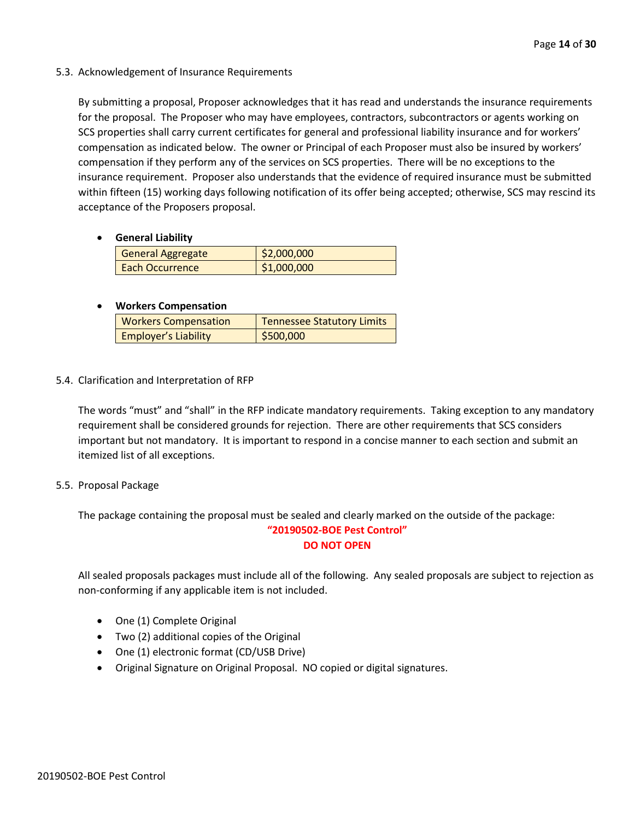5.3. Acknowledgement of Insurance Requirements

By submitting a proposal, Proposer acknowledges that it has read and understands the insurance requirements for the proposal. The Proposer who may have employees, contractors, subcontractors or agents working on SCS properties shall carry current certificates for general and professional liability insurance and for workers' compensation as indicated below. The owner or Principal of each Proposer must also be insured by workers' compensation if they perform any of the services on SCS properties. There will be no exceptions to the insurance requirement. Proposer also understands that the evidence of required insurance must be submitted within fifteen (15) working days following notification of its offer being accepted; otherwise, SCS may rescind its acceptance of the Proposers proposal.

• **General Liability**

| General Aggregate      | \$2,000,000 |
|------------------------|-------------|
| <b>Each Occurrence</b> | \$1,000,000 |

## • **Workers Compensation**

| <b>Workers Compensation</b> | <b>Tennessee Statutory Limits</b> |
|-----------------------------|-----------------------------------|
| <b>Employer's Liability</b> | \$500,000                         |

5.4. Clarification and Interpretation of RFP

The words "must" and "shall" in the RFP indicate mandatory requirements. Taking exception to any mandatory requirement shall be considered grounds for rejection. There are other requirements that SCS considers important but not mandatory. It is important to respond in a concise manner to each section and submit an itemized list of all exceptions.

5.5. Proposal Package

The package containing the proposal must be sealed and clearly marked on the outside of the package:

#### **"20190502-BOE Pest Control" DO NOT OPEN**

All sealed proposals packages must include all of the following. Any sealed proposals are subject to rejection as non-conforming if any applicable item is not included.

- One (1) Complete Original
- Two (2) additional copies of the Original
- One (1) electronic format (CD/USB Drive)
- Original Signature on Original Proposal. NO copied or digital signatures.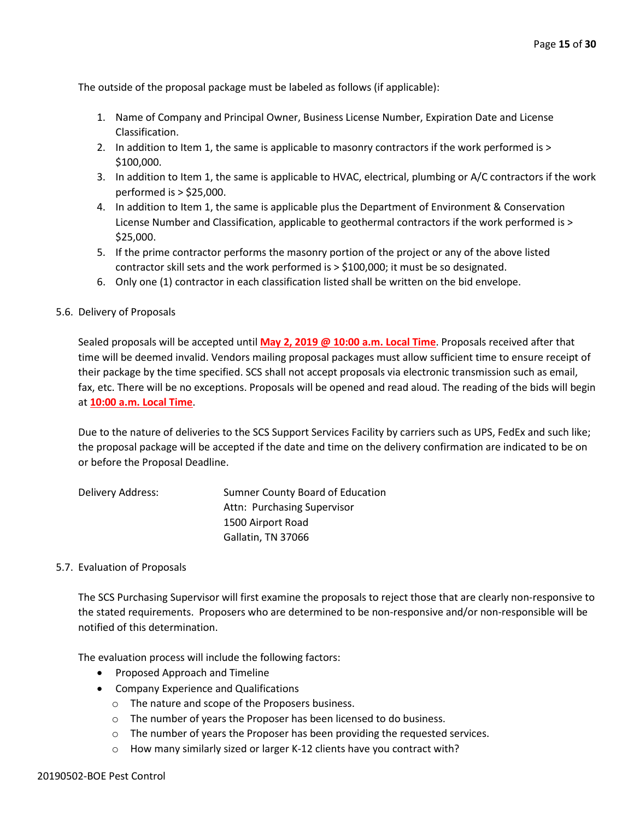The outside of the proposal package must be labeled as follows (if applicable):

- 1. Name of Company and Principal Owner, Business License Number, Expiration Date and License Classification.
- 2. In addition to Item 1, the same is applicable to masonry contractors if the work performed is > \$100,000.
- 3. In addition to Item 1, the same is applicable to HVAC, electrical, plumbing or A/C contractors if the work performed is > \$25,000.
- 4. In addition to Item 1, the same is applicable plus the Department of Environment & Conservation License Number and Classification, applicable to geothermal contractors if the work performed is > \$25,000.
- 5. If the prime contractor performs the masonry portion of the project or any of the above listed contractor skill sets and the work performed is > \$100,000; it must be so designated.
- 6. Only one (1) contractor in each classification listed shall be written on the bid envelope.
- 5.6. Delivery of Proposals

Sealed proposals will be accepted until **May 2, 2019 @ 10:00 a.m. Local Time**. Proposals received after that time will be deemed invalid. Vendors mailing proposal packages must allow sufficient time to ensure receipt of their package by the time specified. SCS shall not accept proposals via electronic transmission such as email, fax, etc. There will be no exceptions. Proposals will be opened and read aloud. The reading of the bids will begin at **10:00 a.m. Local Time**.

Due to the nature of deliveries to the SCS Support Services Facility by carriers such as UPS, FedEx and such like; the proposal package will be accepted if the date and time on the delivery confirmation are indicated to be on or before the Proposal Deadline.

| Delivery Address: | Sumner County Board of Education |
|-------------------|----------------------------------|
|                   | Attn: Purchasing Supervisor      |
|                   | 1500 Airport Road                |
|                   | Gallatin, TN 37066               |

#### 5.7. Evaluation of Proposals

The SCS Purchasing Supervisor will first examine the proposals to reject those that are clearly non-responsive to the stated requirements. Proposers who are determined to be non-responsive and/or non-responsible will be notified of this determination.

The evaluation process will include the following factors:

- Proposed Approach and Timeline
- Company Experience and Qualifications
	- o The nature and scope of the Proposers business.
	- o The number of years the Proposer has been licensed to do business.
	- o The number of years the Proposer has been providing the requested services.
	- o How many similarly sized or larger K-12 clients have you contract with?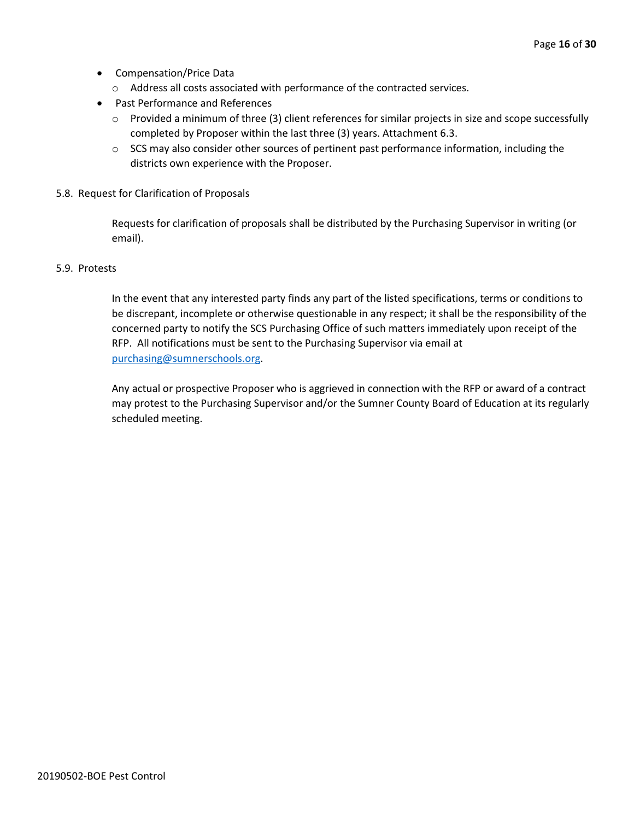- Compensation/Price Data
	- o Address all costs associated with performance of the contracted services.
- Past Performance and References
	- o Provided a minimum of three (3) client references for similar projects in size and scope successfully completed by Proposer within the last three (3) years. Attachment 6.3.
	- $\circ$  SCS may also consider other sources of pertinent past performance information, including the districts own experience with the Proposer.
- 5.8. Request for Clarification of Proposals

Requests for clarification of proposals shall be distributed by the Purchasing Supervisor in writing (or email).

#### 5.9. Protests

In the event that any interested party finds any part of the listed specifications, terms or conditions to be discrepant, incomplete or otherwise questionable in any respect; it shall be the responsibility of the concerned party to notify the SCS Purchasing Office of such matters immediately upon receipt of the RFP. All notifications must be sent to the Purchasing Supervisor via email at [purchasing@sumnerschools.org.](mailto:purchasing@sumnerschools.org)

Any actual or prospective Proposer who is aggrieved in connection with the RFP or award of a contract may protest to the Purchasing Supervisor and/or the Sumner County Board of Education at its regularly scheduled meeting.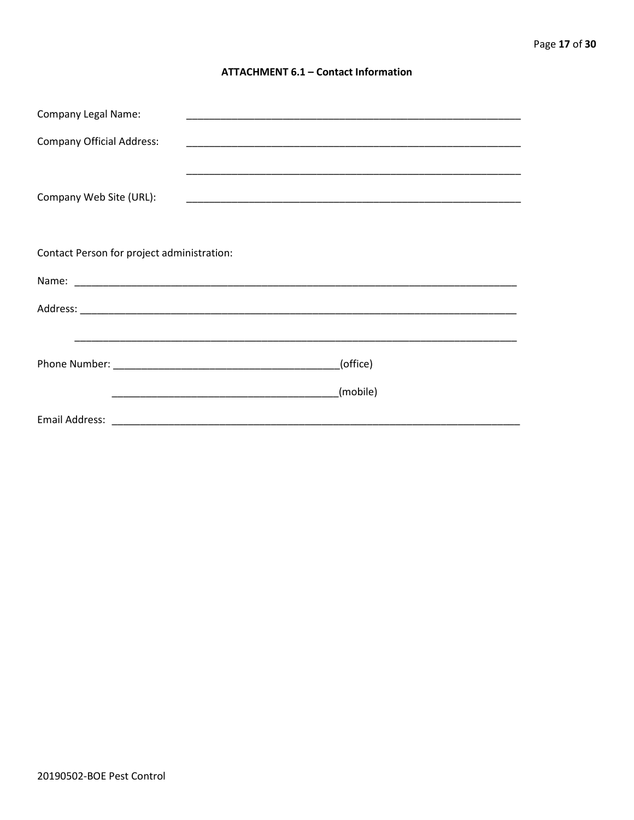#### **ATTACHMENT 6.1 - Contact Information**

| <b>Company Legal Name:</b>                                                                                            | <u> 1990 - Jan James James James James James James James James James James James James James James James James J</u>  |  |
|-----------------------------------------------------------------------------------------------------------------------|-----------------------------------------------------------------------------------------------------------------------|--|
| <b>Company Official Address:</b>                                                                                      |                                                                                                                       |  |
|                                                                                                                       |                                                                                                                       |  |
| Company Web Site (URL):                                                                                               | <u> 1989 - Johann John Stoff, deutscher Stoffen und der Stoffen und der Stoffen und der Stoffen und der Stoffen u</u> |  |
|                                                                                                                       |                                                                                                                       |  |
|                                                                                                                       |                                                                                                                       |  |
| Contact Person for project administration:                                                                            |                                                                                                                       |  |
|                                                                                                                       |                                                                                                                       |  |
|                                                                                                                       |                                                                                                                       |  |
| <u> 1990 - John Harry Harry Harry Harry Harry Harry Harry Harry Harry Harry Harry Harry Harry Harry Harry Harry H</u> |                                                                                                                       |  |
|                                                                                                                       | (office)                                                                                                              |  |
|                                                                                                                       | (mobile)                                                                                                              |  |
|                                                                                                                       |                                                                                                                       |  |
|                                                                                                                       |                                                                                                                       |  |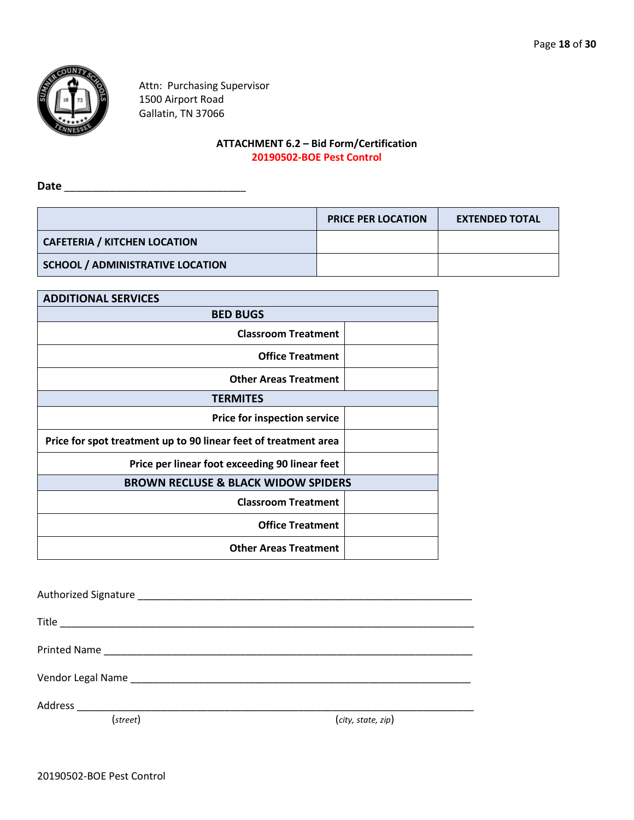

Attn: Purchasing Supervisor 1500 Airport Road Gallatin, TN 37066

# **ATTACHMENT 6.2 – Bid Form/Certification 20190502-BOE Pest Control**

**Date** \_\_\_\_\_\_\_\_\_\_\_\_\_\_\_\_\_\_\_\_\_\_\_\_\_\_\_\_\_\_\_\_

|                                         | <b>PRICE PER LOCATION</b> | <b>EXTENDED TOTAL</b> |
|-----------------------------------------|---------------------------|-----------------------|
| <b>CAFETERIA / KITCHEN LOCATION</b>     |                           |                       |
| <b>SCHOOL / ADMINISTRATIVE LOCATION</b> |                           |                       |

| <b>ADDITIONAL SERVICES</b>                                      |
|-----------------------------------------------------------------|
| <b>BED BUGS</b>                                                 |
| <b>Classroom Treatment</b>                                      |
| <b>Office Treatment</b>                                         |
| <b>Other Areas Treatment</b>                                    |
| <b>TERMITES</b>                                                 |
| <b>Price for inspection service</b>                             |
| Price for spot treatment up to 90 linear feet of treatment area |
| Price per linear foot exceeding 90 linear feet                  |
| <b>BROWN RECLUSE &amp; BLACK WIDOW SPIDERS</b>                  |
| <b>Classroom Treatment</b>                                      |
| <b>Office Treatment</b>                                         |
| <b>Other Areas Treatment</b>                                    |

| Vendor Legal Name Name and Control of The Control of The Control of The Control of The Control of The Control o |                    |
|-----------------------------------------------------------------------------------------------------------------|--------------------|
|                                                                                                                 |                    |
| (street)                                                                                                        | (city, state, zip) |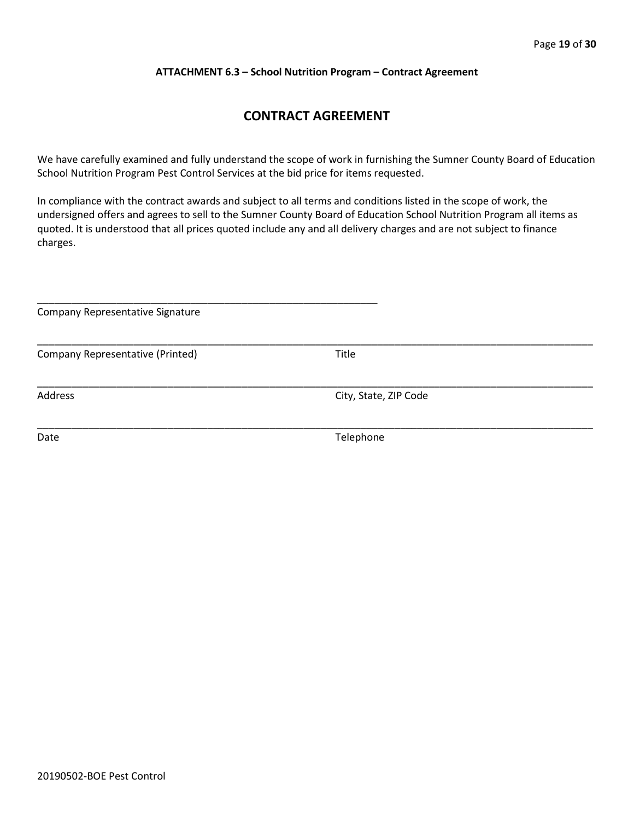#### **ATTACHMENT 6.3 – School Nutrition Program – Contract Agreement**

# **CONTRACT AGREEMENT**

We have carefully examined and fully understand the scope of work in furnishing the Sumner County Board of Education School Nutrition Program Pest Control Services at the bid price for items requested.

In compliance with the contract awards and subject to all terms and conditions listed in the scope of work, the undersigned offers and agrees to sell to the Sumner County Board of Education School Nutrition Program all items as quoted. It is understood that all prices quoted include any and all delivery charges and are not subject to finance charges.

| Company Representative Signature |                       |  |  |  |  |  |  |
|----------------------------------|-----------------------|--|--|--|--|--|--|
| Company Representative (Printed) | Title                 |  |  |  |  |  |  |
| Address                          | City, State, ZIP Code |  |  |  |  |  |  |
| Date                             | Telephone             |  |  |  |  |  |  |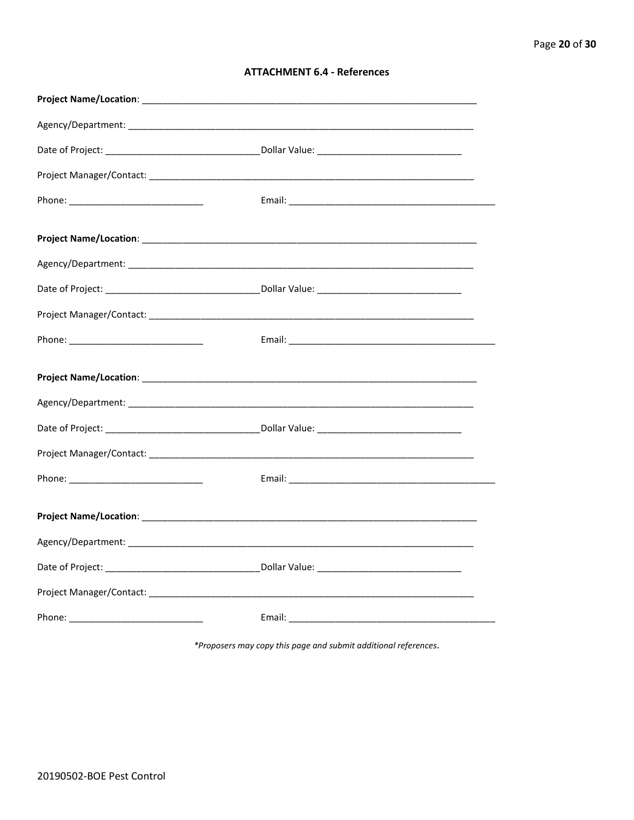\*Proposers may copy this page and submit additional references.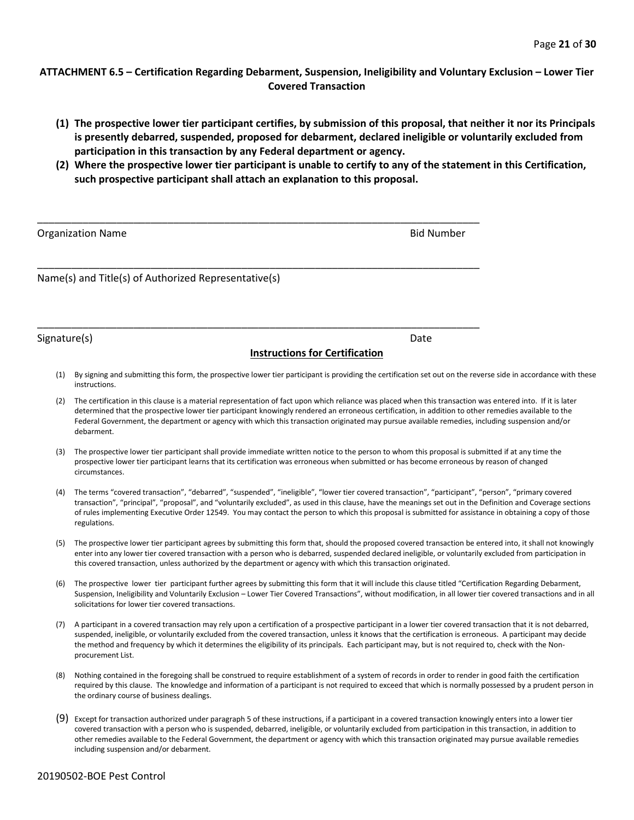#### **ATTACHMENT 6.5 – Certification Regarding Debarment, Suspension, Ineligibility and Voluntary Exclusion – Lower Tier Covered Transaction**

- **(1) The prospective lower tier participant certifies, by submission of this proposal, that neither it nor its Principals is presently debarred, suspended, proposed for debarment, declared ineligible or voluntarily excluded from participation in this transaction by any Federal department or agency.**
- **(2) Where the prospective lower tier participant is unable to certify to any of the statement in this Certification, such prospective participant shall attach an explanation to this proposal.**

| <b>Organization Name</b>                             | <b>Bid Number</b> |
|------------------------------------------------------|-------------------|
| Name(s) and Title(s) of Authorized Representative(s) |                   |

\_\_\_\_\_\_\_\_\_\_\_\_\_\_\_\_\_\_\_\_\_\_\_\_\_\_\_\_\_\_\_\_\_\_\_\_\_\_\_\_\_\_\_\_\_\_\_\_\_\_\_\_\_\_\_\_\_\_\_\_\_\_\_\_\_\_\_\_\_\_\_\_\_\_\_\_\_\_

#### Signature(s) Date Date of the Second Second Second Second Second Second Second Second Second Second Second Second Second Second Second Second Second Second Second Second Second Second Second Second Second Second Second Sec

#### **Instructions for Certification**

- (1) By signing and submitting this form, the prospective lower tier participant is providing the certification set out on the reverse side in accordance with these instructions.
- (2) The certification in this clause is a material representation of fact upon which reliance was placed when this transaction was entered into. If it is later determined that the prospective lower tier participant knowingly rendered an erroneous certification, in addition to other remedies available to the Federal Government, the department or agency with which this transaction originated may pursue available remedies, including suspension and/or debarment.
- (3) The prospective lower tier participant shall provide immediate written notice to the person to whom this proposal is submitted if at any time the prospective lower tier participant learns that its certification was erroneous when submitted or has become erroneous by reason of changed circumstances.
- (4) The terms "covered transaction", "debarred", "suspended", "ineligible", "lower tier covered transaction", "participant", "person", "primary covered transaction", "principal", "proposal", and "voluntarily excluded", as used in this clause, have the meanings set out in the Definition and Coverage sections of rules implementing Executive Order 12549. You may contact the person to which this proposal is submitted for assistance in obtaining a copy of those regulations.
- (5) The prospective lower tier participant agrees by submitting this form that, should the proposed covered transaction be entered into, it shall not knowingly enter into any lower tier covered transaction with a person who is debarred, suspended declared ineligible, or voluntarily excluded from participation in this covered transaction, unless authorized by the department or agency with which this transaction originated.
- (6) The prospective lower tier participant further agrees by submitting this form that it will include this clause titled "Certification Regarding Debarment, Suspension, Ineligibility and Voluntarily Exclusion – Lower Tier Covered Transactions", without modification, in all lower tier covered transactions and in all solicitations for lower tier covered transactions.
- (7) A participant in a covered transaction may rely upon a certification of a prospective participant in a lower tier covered transaction that it is not debarred, suspended, ineligible, or voluntarily excluded from the covered transaction, unless it knows that the certification is erroneous. A participant may decide the method and frequency by which it determines the eligibility of its principals. Each participant may, but is not required to, check with the Nonprocurement List.
- (8) Nothing contained in the foregoing shall be construed to require establishment of a system of records in order to render in good faith the certification required by this clause. The knowledge and information of a participant is not required to exceed that which is normally possessed by a prudent person in the ordinary course of business dealings.
- (9) Except for transaction authorized under paragraph 5 of these instructions, if a participant in a covered transaction knowingly enters into a lower tier covered transaction with a person who is suspended, debarred, ineligible, or voluntarily excluded from participation in this transaction, in addition to other remedies available to the Federal Government, the department or agency with which this transaction originated may pursue available remedies including suspension and/or debarment.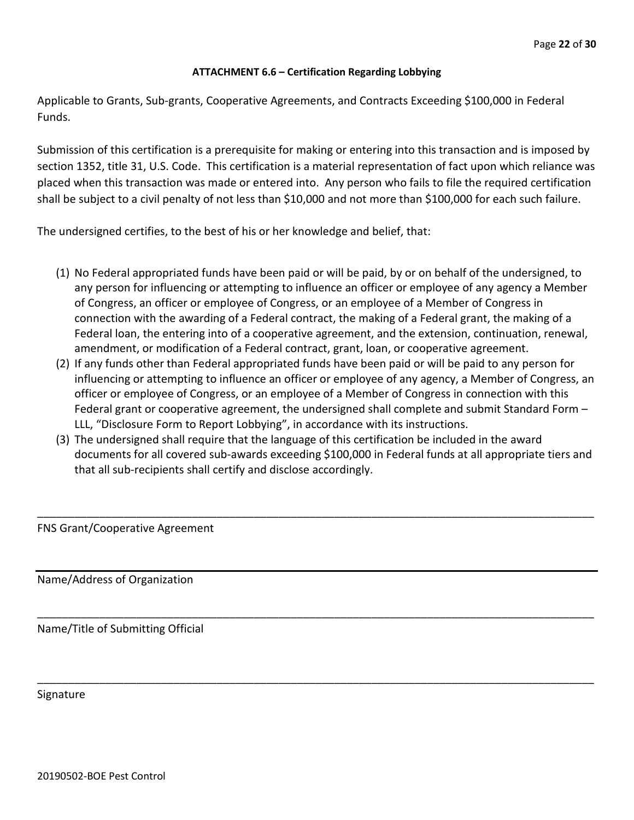## **ATTACHMENT 6.6 – Certification Regarding Lobbying**

Applicable to Grants, Sub-grants, Cooperative Agreements, and Contracts Exceeding \$100,000 in Federal Funds.

Submission of this certification is a prerequisite for making or entering into this transaction and is imposed by section 1352, title 31, U.S. Code. This certification is a material representation of fact upon which reliance was placed when this transaction was made or entered into. Any person who fails to file the required certification shall be subject to a civil penalty of not less than \$10,000 and not more than \$100,000 for each such failure.

The undersigned certifies, to the best of his or her knowledge and belief, that:

- (1) No Federal appropriated funds have been paid or will be paid, by or on behalf of the undersigned, to any person for influencing or attempting to influence an officer or employee of any agency a Member of Congress, an officer or employee of Congress, or an employee of a Member of Congress in connection with the awarding of a Federal contract, the making of a Federal grant, the making of a Federal loan, the entering into of a cooperative agreement, and the extension, continuation, renewal, amendment, or modification of a Federal contract, grant, loan, or cooperative agreement.
- (2) If any funds other than Federal appropriated funds have been paid or will be paid to any person for influencing or attempting to influence an officer or employee of any agency, a Member of Congress, an officer or employee of Congress, or an employee of a Member of Congress in connection with this Federal grant or cooperative agreement, the undersigned shall complete and submit Standard Form – LLL, "Disclosure Form to Report Lobbying", in accordance with its instructions.
- (3) The undersigned shall require that the language of this certification be included in the award documents for all covered sub-awards exceeding \$100,000 in Federal funds at all appropriate tiers and that all sub-recipients shall certify and disclose accordingly.

\_\_\_\_\_\_\_\_\_\_\_\_\_\_\_\_\_\_\_\_\_\_\_\_\_\_\_\_\_\_\_\_\_\_\_\_\_\_\_\_\_\_\_\_\_\_\_\_\_\_\_\_\_\_\_\_\_\_\_\_\_\_\_\_\_\_\_\_\_\_\_\_\_\_\_\_\_\_\_\_\_\_\_\_\_\_\_\_\_\_

\_\_\_\_\_\_\_\_\_\_\_\_\_\_\_\_\_\_\_\_\_\_\_\_\_\_\_\_\_\_\_\_\_\_\_\_\_\_\_\_\_\_\_\_\_\_\_\_\_\_\_\_\_\_\_\_\_\_\_\_\_\_\_\_\_\_\_\_\_\_\_\_\_\_\_\_\_\_\_\_\_\_\_\_\_\_\_\_\_\_

\_\_\_\_\_\_\_\_\_\_\_\_\_\_\_\_\_\_\_\_\_\_\_\_\_\_\_\_\_\_\_\_\_\_\_\_\_\_\_\_\_\_\_\_\_\_\_\_\_\_\_\_\_\_\_\_\_\_\_\_\_\_\_\_\_\_\_\_\_\_\_\_\_\_\_\_\_\_\_\_\_\_\_\_\_\_\_\_\_\_

FNS Grant/Cooperative Agreement

Name/Address of Organization

Name/Title of Submitting Official

Signature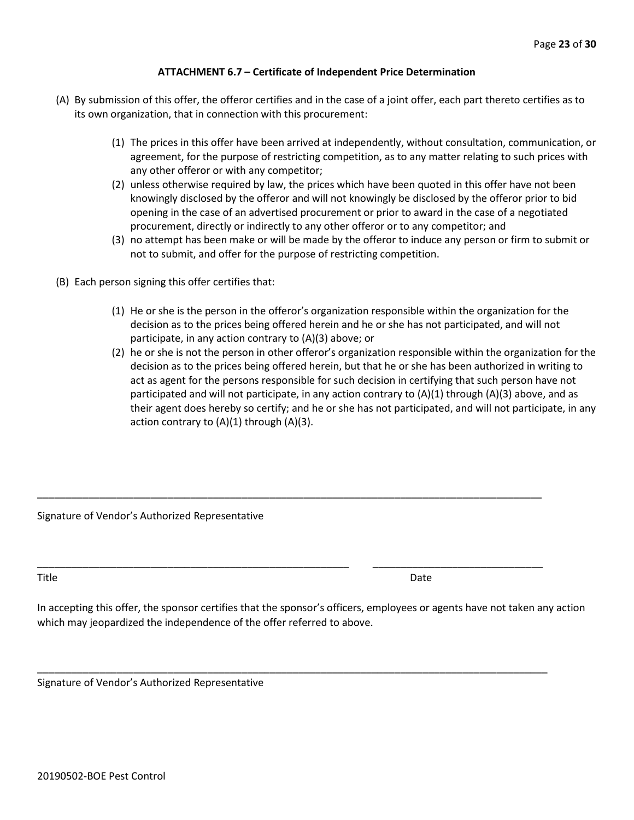#### **ATTACHMENT 6.7 – Certificate of Independent Price Determination**

- (A) By submission of this offer, the offeror certifies and in the case of a joint offer, each part thereto certifies as to its own organization, that in connection with this procurement:
	- (1) The prices in this offer have been arrived at independently, without consultation, communication, or agreement, for the purpose of restricting competition, as to any matter relating to such prices with any other offeror or with any competitor;
	- (2) unless otherwise required by law, the prices which have been quoted in this offer have not been knowingly disclosed by the offeror and will not knowingly be disclosed by the offeror prior to bid opening in the case of an advertised procurement or prior to award in the case of a negotiated procurement, directly or indirectly to any other offeror or to any competitor; and
	- (3) no attempt has been make or will be made by the offeror to induce any person or firm to submit or not to submit, and offer for the purpose of restricting competition.
- (B) Each person signing this offer certifies that:
	- (1) He or she is the person in the offeror's organization responsible within the organization for the decision as to the prices being offered herein and he or she has not participated, and will not participate, in any action contrary to (A)(3) above; or
	- (2) he or she is not the person in other offeror's organization responsible within the organization for the decision as to the prices being offered herein, but that he or she has been authorized in writing to act as agent for the persons responsible for such decision in certifying that such person have not participated and will not participate, in any action contrary to  $(A)(1)$  through  $(A)(3)$  above, and as their agent does hereby so certify; and he or she has not participated, and will not participate, in any action contrary to  $(A)(1)$  through  $(A)(3)$ .

Signature of Vendor's Authorized Representative

Title **Date** 

In accepting this offer, the sponsor certifies that the sponsor's officers, employees or agents have not taken any action which may jeopardized the independence of the offer referred to above.

\_\_\_\_\_\_\_\_\_\_\_\_\_\_\_\_\_\_\_\_\_\_\_\_\_\_\_\_\_\_\_\_\_\_\_\_\_\_\_\_\_\_\_\_\_\_\_\_\_\_\_\_\_\_\_\_\_\_\_\_\_\_\_\_\_\_\_\_\_\_\_\_\_\_\_\_\_\_\_\_\_\_\_\_\_\_\_\_\_

\_\_\_\_\_\_\_\_\_\_\_\_\_\_\_\_\_\_\_\_\_\_\_\_\_\_\_\_\_\_\_\_\_\_\_\_\_\_\_\_\_\_\_\_\_\_\_\_\_\_\_\_\_\_\_ \_\_\_\_\_\_\_\_\_\_\_\_\_\_\_\_\_\_\_\_\_\_\_\_\_\_\_\_\_\_

\_\_\_\_\_\_\_\_\_\_\_\_\_\_\_\_\_\_\_\_\_\_\_\_\_\_\_\_\_\_\_\_\_\_\_\_\_\_\_\_\_\_\_\_\_\_\_\_\_\_\_\_\_\_\_\_\_\_\_\_\_\_\_\_\_\_\_\_\_\_\_\_\_\_\_\_\_\_\_\_\_\_\_\_\_\_\_\_\_\_

Signature of Vendor's Authorized Representative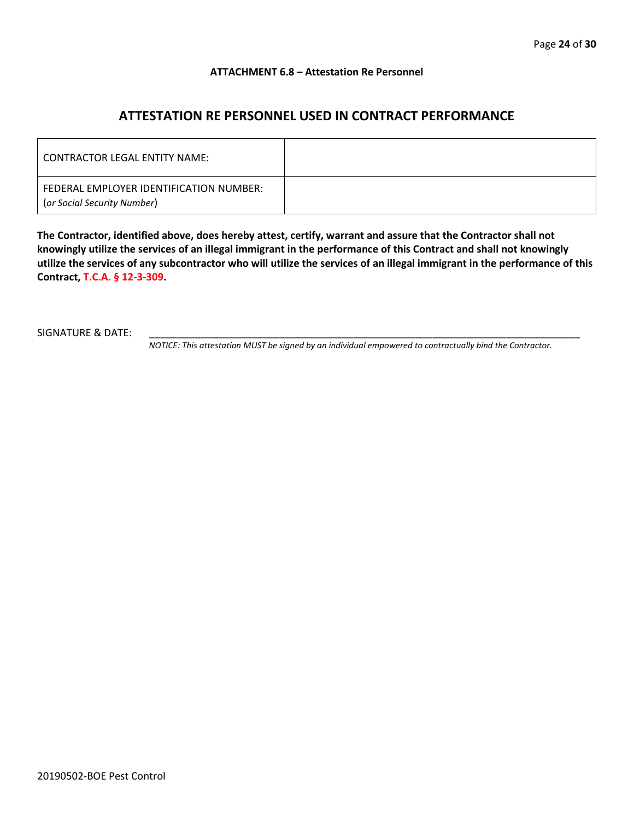#### **ATTACHMENT 6.8 – Attestation Re Personnel**

# **ATTESTATION RE PERSONNEL USED IN CONTRACT PERFORMANCE**

| CONTRACTOR LEGAL ENTITY NAME:                                          |  |
|------------------------------------------------------------------------|--|
| FEDERAL EMPLOYER IDENTIFICATION NUMBER:<br>(or Social Security Number) |  |

**The Contractor, identified above, does hereby attest, certify, warrant and assure that the Contractor shall not knowingly utilize the services of an illegal immigrant in the performance of this Contract and shall not knowingly utilize the services of any subcontractor who will utilize the services of an illegal immigrant in the performance of this Contract, T.C.A. § 12-3-309.**

SIGNATURE & DATE:

*NOTICE: This attestation MUST be signed by an individual empowered to contractually bind the Contractor.*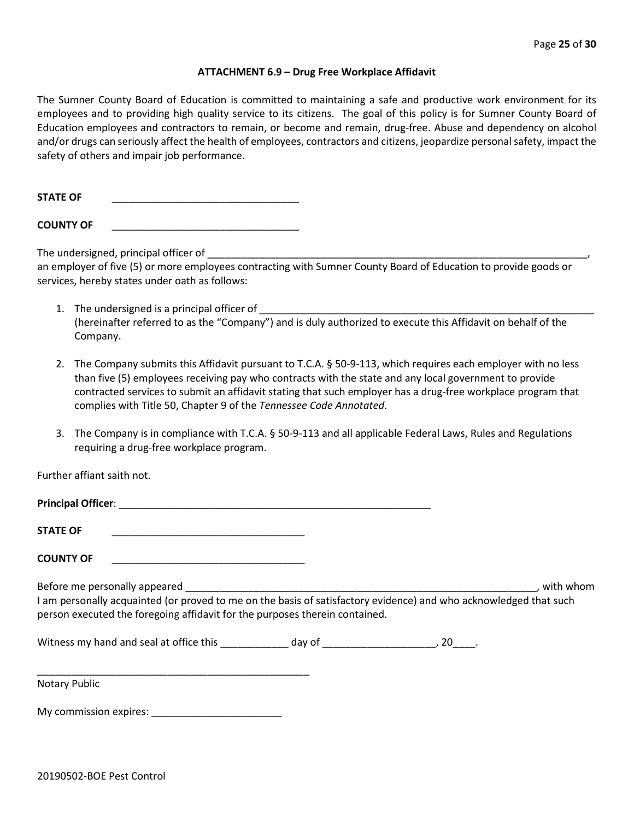#### **ATTACHMENT 6.9 – Drug Free Workplace Affidavit**

The Sumner County Board of Education is committed to maintaining a safe and productive work environment for its employees and to providing high quality service to its citizens. The goal of this policy is for Sumner County Board of Education employees and contractors to remain, or become and remain, drug-free. Abuse and dependency on alcohol and/or drugs can seriously affect the health of employees, contractors and citizens, jeopardize personal safety, impact the safety of others and impair job performance.

**STATE OF** \_\_\_\_\_\_\_\_\_\_\_\_\_\_\_\_\_\_\_\_\_\_\_\_\_\_\_\_\_\_\_\_\_

**COUNTY OF** \_\_\_\_\_\_\_\_\_\_\_\_\_\_\_\_\_\_\_\_\_\_\_\_\_\_\_\_\_\_\_\_\_

The undersigned, principal officer of

an employer of five (5) or more employees contracting with Sumner County Board of Education to provide goods or services, hereby states under oath as follows:

- 1. The undersigned is a principal officer of (hereinafter referred to as the "Company") and is duly authorized to execute this Affidavit on behalf of the Company.
- 2. The Company submits this Affidavit pursuant to T.C.A. § 50-9-113, which requires each employer with no less than five (5) employees receiving pay who contracts with the state and any local government to provide contracted services to submit an affidavit stating that such employer has a drug-free workplace program that complies with Title 50, Chapter 9 of the *Tennessee Code Annotated*.
- 3. The Company is in compliance with T.C.A. § 50-9-113 and all applicable Federal Laws, Rules and Regulations requiring a drug-free workplace program.

Further affiant saith not.

| <b>STATE OF</b>                                                                                                                                                                                  |  |           |
|--------------------------------------------------------------------------------------------------------------------------------------------------------------------------------------------------|--|-----------|
| <b>COUNTY OF</b><br>the contract of the contract of the contract of the contract of the contract of                                                                                              |  |           |
| I am personally acquainted (or proved to me on the basis of satisfactory evidence) and who acknowledged that such<br>person executed the foregoing affidavit for the purposes therein contained. |  | with whom |
|                                                                                                                                                                                                  |  |           |
| Notary Public                                                                                                                                                                                    |  |           |

My commission expires: \_\_\_\_\_\_\_\_\_\_\_\_\_\_\_\_\_\_\_\_\_\_\_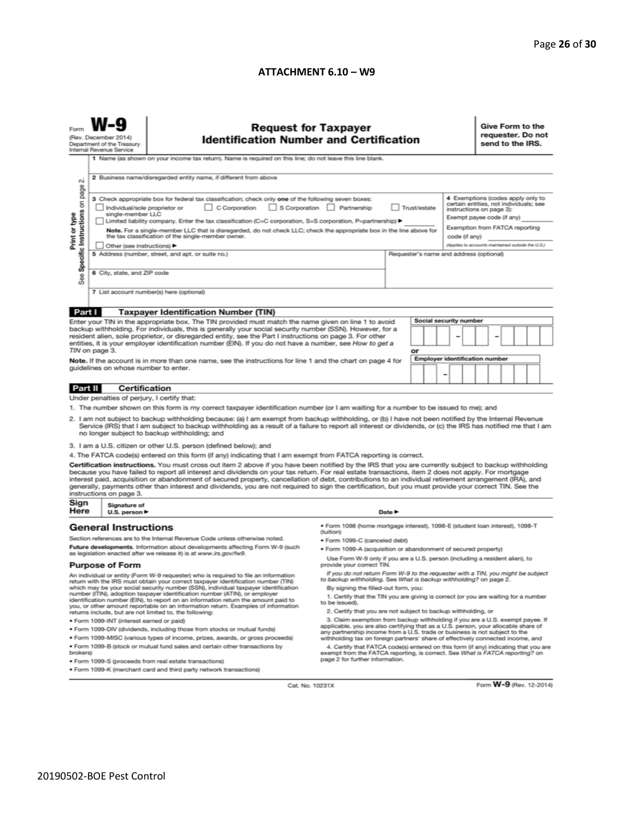#### **ATTACHMENT 6.10 – W9**

|                                                                                                                                                                                                                                                                                                                                                                                                                                                                                                                                                                                                                                                          | <b>Request for Taxpayer</b><br><b>Identification Number and Certification</b><br>(Rev. December 2014)<br>Department of the Treasury<br>Internal Revenue Service<br>1 Name (as shown on your income tax return). Name is required on this line; do not leave this line blank.                                                                                                                                                                                                                                                                                                                                                               |                                                                                                                                                                                                                                                                                                                                                                     |                                                                                                                                                                                                        |                                         |                                       |   |               |                                                   | Give Form to the<br>requester. Do not<br>send to the IRS. |  |  |  |
|----------------------------------------------------------------------------------------------------------------------------------------------------------------------------------------------------------------------------------------------------------------------------------------------------------------------------------------------------------------------------------------------------------------------------------------------------------------------------------------------------------------------------------------------------------------------------------------------------------------------------------------------------------|--------------------------------------------------------------------------------------------------------------------------------------------------------------------------------------------------------------------------------------------------------------------------------------------------------------------------------------------------------------------------------------------------------------------------------------------------------------------------------------------------------------------------------------------------------------------------------------------------------------------------------------------|---------------------------------------------------------------------------------------------------------------------------------------------------------------------------------------------------------------------------------------------------------------------------------------------------------------------------------------------------------------------|--------------------------------------------------------------------------------------------------------------------------------------------------------------------------------------------------------|-----------------------------------------|---------------------------------------|---|---------------|---------------------------------------------------|-----------------------------------------------------------|--|--|--|
| $\sim$<br>page                                                                                                                                                                                                                                                                                                                                                                                                                                                                                                                                                                                                                                           | 2 Business name/disregarded entity name, if different from above                                                                                                                                                                                                                                                                                                                                                                                                                                                                                                                                                                           |                                                                                                                                                                                                                                                                                                                                                                     |                                                                                                                                                                                                        |                                         |                                       |   |               |                                                   |                                                           |  |  |  |
| Specific Instructions on<br>Print or type                                                                                                                                                                                                                                                                                                                                                                                                                                                                                                                                                                                                                | 4 Exemptions (codes apply only to<br>3 Check appropriate box for federal tax classification; check only one of the following seven boxes:<br>certain entities, not individuals; see<br>S Corporation Partnership<br>C Corporation<br>Trust/estate<br>Individual/sole proprietor or<br>instructions on page 3):<br>single-member LLC<br>Exempt payee code (if any)<br>Limited liability company. Enter the tax classification (C=C corporation, S=S corporation, P=partnership) ▶<br>Exemption from FATCA reporting<br>Note. For a single-member LLC that is disregarded, do not check LLC; check the appropriate box in the line above for |                                                                                                                                                                                                                                                                                                                                                                     |                                                                                                                                                                                                        |                                         |                                       |   |               |                                                   |                                                           |  |  |  |
|                                                                                                                                                                                                                                                                                                                                                                                                                                                                                                                                                                                                                                                          | Other (see instructions) ▶                                                                                                                                                                                                                                                                                                                                                                                                                                                                                                                                                                                                                 | the tax classification of the single-member owner.                                                                                                                                                                                                                                                                                                                  |                                                                                                                                                                                                        |                                         |                                       |   | code (if any) | (Applies to accounts maintained outside the U.S.) |                                                           |  |  |  |
|                                                                                                                                                                                                                                                                                                                                                                                                                                                                                                                                                                                                                                                          |                                                                                                                                                                                                                                                                                                                                                                                                                                                                                                                                                                                                                                            | 5 Address (number, street, and apt. or suite no.)                                                                                                                                                                                                                                                                                                                   |                                                                                                                                                                                                        | Requester's name and address (optional) |                                       |   |               |                                                   |                                                           |  |  |  |
| <b>See</b>                                                                                                                                                                                                                                                                                                                                                                                                                                                                                                                                                                                                                                               | 6 City, state, and ZIP code                                                                                                                                                                                                                                                                                                                                                                                                                                                                                                                                                                                                                |                                                                                                                                                                                                                                                                                                                                                                     |                                                                                                                                                                                                        |                                         |                                       |   |               |                                                   |                                                           |  |  |  |
|                                                                                                                                                                                                                                                                                                                                                                                                                                                                                                                                                                                                                                                          |                                                                                                                                                                                                                                                                                                                                                                                                                                                                                                                                                                                                                                            | 7 List account number(s) here (optional)                                                                                                                                                                                                                                                                                                                            |                                                                                                                                                                                                        |                                         |                                       |   |               |                                                   |                                                           |  |  |  |
| Part I                                                                                                                                                                                                                                                                                                                                                                                                                                                                                                                                                                                                                                                   |                                                                                                                                                                                                                                                                                                                                                                                                                                                                                                                                                                                                                                            | <b>Taxpayer Identification Number (TIN)</b>                                                                                                                                                                                                                                                                                                                         |                                                                                                                                                                                                        |                                         |                                       |   |               |                                                   |                                                           |  |  |  |
|                                                                                                                                                                                                                                                                                                                                                                                                                                                                                                                                                                                                                                                          |                                                                                                                                                                                                                                                                                                                                                                                                                                                                                                                                                                                                                                            | Enter your TIN in the appropriate box. The TIN provided must match the name given on line 1 to avoid                                                                                                                                                                                                                                                                |                                                                                                                                                                                                        |                                         | <b>Social security number</b>         |   |               |                                                   |                                                           |  |  |  |
|                                                                                                                                                                                                                                                                                                                                                                                                                                                                                                                                                                                                                                                          |                                                                                                                                                                                                                                                                                                                                                                                                                                                                                                                                                                                                                                            | backup withholding. For individuals, this is generally your social security number (SSN). However, for a<br>resident alien, sole proprietor, or disregarded entity, see the Part I instructions on page 3. For other                                                                                                                                                |                                                                                                                                                                                                        |                                         |                                       |   |               |                                                   |                                                           |  |  |  |
|                                                                                                                                                                                                                                                                                                                                                                                                                                                                                                                                                                                                                                                          |                                                                                                                                                                                                                                                                                                                                                                                                                                                                                                                                                                                                                                            | entities, it is your employer identification number (EIN). If you do not have a number, see How to get a                                                                                                                                                                                                                                                            |                                                                                                                                                                                                        |                                         |                                       |   |               |                                                   |                                                           |  |  |  |
|                                                                                                                                                                                                                                                                                                                                                                                                                                                                                                                                                                                                                                                          | TIN on page 3.                                                                                                                                                                                                                                                                                                                                                                                                                                                                                                                                                                                                                             |                                                                                                                                                                                                                                                                                                                                                                     |                                                                                                                                                                                                        |                                         | or                                    |   |               |                                                   |                                                           |  |  |  |
|                                                                                                                                                                                                                                                                                                                                                                                                                                                                                                                                                                                                                                                          |                                                                                                                                                                                                                                                                                                                                                                                                                                                                                                                                                                                                                                            | Note. If the account is in more than one name, see the instructions for line 1 and the chart on page 4 for                                                                                                                                                                                                                                                          |                                                                                                                                                                                                        |                                         | <b>Employer identification number</b> |   |               |                                                   |                                                           |  |  |  |
|                                                                                                                                                                                                                                                                                                                                                                                                                                                                                                                                                                                                                                                          | guidelines on whose number to enter.                                                                                                                                                                                                                                                                                                                                                                                                                                                                                                                                                                                                       |                                                                                                                                                                                                                                                                                                                                                                     |                                                                                                                                                                                                        |                                         |                                       | - |               |                                                   |                                                           |  |  |  |
| Part II                                                                                                                                                                                                                                                                                                                                                                                                                                                                                                                                                                                                                                                  | <b>Certification</b>                                                                                                                                                                                                                                                                                                                                                                                                                                                                                                                                                                                                                       |                                                                                                                                                                                                                                                                                                                                                                     |                                                                                                                                                                                                        |                                         |                                       |   |               |                                                   |                                                           |  |  |  |
|                                                                                                                                                                                                                                                                                                                                                                                                                                                                                                                                                                                                                                                          | Under penalties of perjury, I certify that:                                                                                                                                                                                                                                                                                                                                                                                                                                                                                                                                                                                                |                                                                                                                                                                                                                                                                                                                                                                     |                                                                                                                                                                                                        |                                         |                                       |   |               |                                                   |                                                           |  |  |  |
|                                                                                                                                                                                                                                                                                                                                                                                                                                                                                                                                                                                                                                                          |                                                                                                                                                                                                                                                                                                                                                                                                                                                                                                                                                                                                                                            | 1. The number shown on this form is my correct taxpayer identification number (or I am waiting for a number to be issued to me); and                                                                                                                                                                                                                                |                                                                                                                                                                                                        |                                         |                                       |   |               |                                                   |                                                           |  |  |  |
|                                                                                                                                                                                                                                                                                                                                                                                                                                                                                                                                                                                                                                                          |                                                                                                                                                                                                                                                                                                                                                                                                                                                                                                                                                                                                                                            | 2. I am not subject to backup withholding because: (a) I am exempt from backup withholding, or (b) I have not been notified by the Internal Revenue<br>Service (IRS) that I am subject to backup withholding as a result of a failure to report all interest or dividends, or (c) the IRS has notified me that I am<br>no longer subject to backup withholding; and |                                                                                                                                                                                                        |                                         |                                       |   |               |                                                   |                                                           |  |  |  |
|                                                                                                                                                                                                                                                                                                                                                                                                                                                                                                                                                                                                                                                          |                                                                                                                                                                                                                                                                                                                                                                                                                                                                                                                                                                                                                                            | 3. I am a U.S. citizen or other U.S. person (defined below); and                                                                                                                                                                                                                                                                                                    |                                                                                                                                                                                                        |                                         |                                       |   |               |                                                   |                                                           |  |  |  |
|                                                                                                                                                                                                                                                                                                                                                                                                                                                                                                                                                                                                                                                          |                                                                                                                                                                                                                                                                                                                                                                                                                                                                                                                                                                                                                                            | 4. The FATCA code(s) entered on this form (if any) indicating that I am exempt from FATCA reporting is correct.                                                                                                                                                                                                                                                     |                                                                                                                                                                                                        |                                         |                                       |   |               |                                                   |                                                           |  |  |  |
| Certification instructions. You must cross out item 2 above if you have been notified by the IRS that you are currently subject to backup withholding<br>because you have failed to report all interest and dividends on your tax return. For real estate transactions, item 2 does not apply. For mortgage<br>interest paid, acquisition or abandonment of secured property, cancellation of debt, contributions to an individual retirement arrangement (IRA), and<br>generally, payments other than interest and dividends, you are not required to sign the certification, but you must provide your correct TIN. See the<br>instructions on page 3. |                                                                                                                                                                                                                                                                                                                                                                                                                                                                                                                                                                                                                                            |                                                                                                                                                                                                                                                                                                                                                                     |                                                                                                                                                                                                        |                                         |                                       |   |               |                                                   |                                                           |  |  |  |
| Sign<br>Here                                                                                                                                                                                                                                                                                                                                                                                                                                                                                                                                                                                                                                             | Signature of<br>U.S. person $\blacktriangleright$                                                                                                                                                                                                                                                                                                                                                                                                                                                                                                                                                                                          |                                                                                                                                                                                                                                                                                                                                                                     |                                                                                                                                                                                                        | Date $\blacktriangleright$              |                                       |   |               |                                                   |                                                           |  |  |  |
|                                                                                                                                                                                                                                                                                                                                                                                                                                                                                                                                                                                                                                                          | <b>General Instructions</b>                                                                                                                                                                                                                                                                                                                                                                                                                                                                                                                                                                                                                |                                                                                                                                                                                                                                                                                                                                                                     | · Form 1098 (home mortgage interest), 1098-E (student loan interest), 1098-T<br>(tuition)                                                                                                              |                                         |                                       |   |               |                                                   |                                                           |  |  |  |
|                                                                                                                                                                                                                                                                                                                                                                                                                                                                                                                                                                                                                                                          |                                                                                                                                                                                                                                                                                                                                                                                                                                                                                                                                                                                                                                            | Section references are to the Internal Revenue Code unless otherwise noted.                                                                                                                                                                                                                                                                                         | · Form 1099-C (canceled debt)                                                                                                                                                                          |                                         |                                       |   |               |                                                   |                                                           |  |  |  |
|                                                                                                                                                                                                                                                                                                                                                                                                                                                                                                                                                                                                                                                          |                                                                                                                                                                                                                                                                                                                                                                                                                                                                                                                                                                                                                                            | Future developments. Information about developments affecting Form W-9 (such<br>as legislation enacted after we release it) is at www.irs.gov/fw9.                                                                                                                                                                                                                  | · Form 1099-A (acquisition or abandonment of secured property)                                                                                                                                         |                                         |                                       |   |               |                                                   |                                                           |  |  |  |
|                                                                                                                                                                                                                                                                                                                                                                                                                                                                                                                                                                                                                                                          | <b>Purpose of Form</b>                                                                                                                                                                                                                                                                                                                                                                                                                                                                                                                                                                                                                     |                                                                                                                                                                                                                                                                                                                                                                     | Use Form W-9 only if you are a U.S. person (including a resident alien), to<br>provide your correct TIN.                                                                                               |                                         |                                       |   |               |                                                   |                                                           |  |  |  |
| If you do not return Form W-9 to the requester with a TIN, you might be subject<br>An individual or entity (Form W-9 requester) who is required to file an information<br>to backup withholding. See What is backup withholding? on page 2.<br>return with the IRS must obtain your correct taxpayer identification number (TIN)                                                                                                                                                                                                                                                                                                                         |                                                                                                                                                                                                                                                                                                                                                                                                                                                                                                                                                                                                                                            |                                                                                                                                                                                                                                                                                                                                                                     |                                                                                                                                                                                                        |                                         |                                       |   |               |                                                   |                                                           |  |  |  |
|                                                                                                                                                                                                                                                                                                                                                                                                                                                                                                                                                                                                                                                          |                                                                                                                                                                                                                                                                                                                                                                                                                                                                                                                                                                                                                                            | which may be your social security number (SSN), individual taxpayer identification<br>number (ITIN), adoption taxpayer identification number (ATIN), or employer<br>identification number (EIN), to report on an information return the amount paid to<br>you, or other amount reportable on an information return. Examples of information                         | By signing the filled-out form, you:<br>1. Certify that the TIN you are giving is correct (or you are waiting for a number<br>to be issued).                                                           |                                         |                                       |   |               |                                                   |                                                           |  |  |  |
| 2. Certify that you are not subject to backup withholding, or<br>returns include, but are not limited to, the following:                                                                                                                                                                                                                                                                                                                                                                                                                                                                                                                                 |                                                                                                                                                                                                                                                                                                                                                                                                                                                                                                                                                                                                                                            |                                                                                                                                                                                                                                                                                                                                                                     |                                                                                                                                                                                                        |                                         |                                       |   |               |                                                   |                                                           |  |  |  |
|                                                                                                                                                                                                                                                                                                                                                                                                                                                                                                                                                                                                                                                          | · Form 1099-INT (interest earned or paid)                                                                                                                                                                                                                                                                                                                                                                                                                                                                                                                                                                                                  |                                                                                                                                                                                                                                                                                                                                                                     | 3. Claim exemption from backup withholding if you are a U.S. exempt payee. If<br>applicable, you are also certifying that as a U.S. person, your allocable share of                                    |                                         |                                       |   |               |                                                   |                                                           |  |  |  |
|                                                                                                                                                                                                                                                                                                                                                                                                                                                                                                                                                                                                                                                          |                                                                                                                                                                                                                                                                                                                                                                                                                                                                                                                                                                                                                                            | . Form 1099-DIV (dividends, including those from stocks or mutual funds)                                                                                                                                                                                                                                                                                            | any partnership income from a U.S. trade or business is not subject to the                                                                                                                             |                                         |                                       |   |               |                                                   |                                                           |  |  |  |
|                                                                                                                                                                                                                                                                                                                                                                                                                                                                                                                                                                                                                                                          |                                                                                                                                                                                                                                                                                                                                                                                                                                                                                                                                                                                                                                            | * Form 1099-MISC (various types of income, prizes, awards, or gross proceeds)                                                                                                                                                                                                                                                                                       | withholding tax on foreign partners' share of effectively connected income, and                                                                                                                        |                                         |                                       |   |               |                                                   |                                                           |  |  |  |
| brokers)                                                                                                                                                                                                                                                                                                                                                                                                                                                                                                                                                                                                                                                 |                                                                                                                                                                                                                                                                                                                                                                                                                                                                                                                                                                                                                                            | . Form 1099-B (stock or mutual fund sales and certain other transactions by<br>· Form 1099-S (proceeds from real estate transactions)                                                                                                                                                                                                                               | 4. Certify that FATCA code(s) entered on this form (if any) indicating that you are<br>exempt from the FATCA reporting, is correct. See What is FATCA reporting? on<br>page 2 for further information. |                                         |                                       |   |               |                                                   |                                                           |  |  |  |
|                                                                                                                                                                                                                                                                                                                                                                                                                                                                                                                                                                                                                                                          |                                                                                                                                                                                                                                                                                                                                                                                                                                                                                                                                                                                                                                            | . Form 1099-K (merchant card and third party network transactions)                                                                                                                                                                                                                                                                                                  |                                                                                                                                                                                                        |                                         |                                       |   |               |                                                   |                                                           |  |  |  |

Cat. No. 10231X

Form **W-9** (Rev. 12-2014)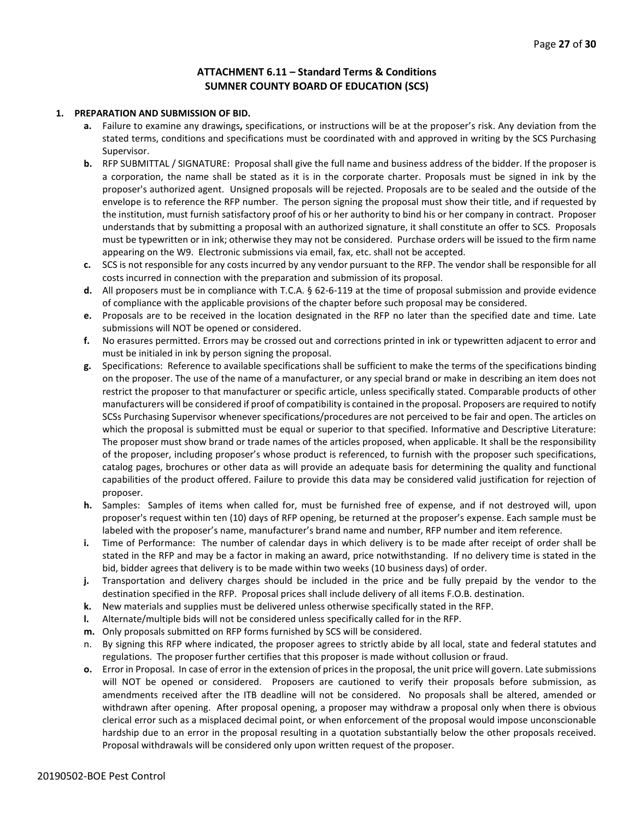#### **ATTACHMENT 6.11 – Standard Terms & Conditions SUMNER COUNTY BOARD OF EDUCATION (SCS)**

#### **1. PREPARATION AND SUBMISSION OF BID.**

- **a.** Failure to examine any drawings**,** specifications, or instructions will be at the proposer's risk. Any deviation from the stated terms, conditions and specifications must be coordinated with and approved in writing by the SCS Purchasing Supervisor.
- **b.** RFP SUBMITTAL / SIGNATURE: Proposal shall give the full name and business address of the bidder. If the proposer is a corporation, the name shall be stated as it is in the corporate charter. Proposals must be signed in ink by the proposer's authorized agent. Unsigned proposals will be rejected. Proposals are to be sealed and the outside of the envelope is to reference the RFP number. The person signing the proposal must show their title, and if requested by the institution, must furnish satisfactory proof of his or her authority to bind his or her company in contract. Proposer understands that by submitting a proposal with an authorized signature, it shall constitute an offer to SCS. Proposals must be typewritten or in ink; otherwise they may not be considered. Purchase orders will be issued to the firm name appearing on the W9. Electronic submissions via email, fax, etc. shall not be accepted.
- **c.** SCS is not responsible for any costs incurred by any vendor pursuant to the RFP. The vendor shall be responsible for all costs incurred in connection with the preparation and submission of its proposal.
- **d.** All proposers must be in compliance with T.C.A. § 62-6-119 at the time of proposal submission and provide evidence of compliance with the applicable provisions of the chapter before such proposal may be considered.
- **e.** Proposals are to be received in the location designated in the RFP no later than the specified date and time. Late submissions will NOT be opened or considered.
- **f.** No erasures permitted. Errors may be crossed out and corrections printed in ink or typewritten adjacent to error and must be initialed in ink by person signing the proposal.
- **g.** Specifications: Reference to available specifications shall be sufficient to make the terms of the specifications binding on the proposer. The use of the name of a manufacturer, or any special brand or make in describing an item does not restrict the proposer to that manufacturer or specific article, unless specifically stated. Comparable products of other manufacturers will be considered if proof of compatibility is contained in the proposal. Proposers are required to notify SCSs Purchasing Supervisor whenever specifications/procedures are not perceived to be fair and open. The articles on which the proposal is submitted must be equal or superior to that specified. Informative and Descriptive Literature: The proposer must show brand or trade names of the articles proposed, when applicable. It shall be the responsibility of the proposer, including proposer's whose product is referenced, to furnish with the proposer such specifications, catalog pages, brochures or other data as will provide an adequate basis for determining the quality and functional capabilities of the product offered. Failure to provide this data may be considered valid justification for rejection of proposer.
- **h.** Samples: Samples of items when called for, must be furnished free of expense, and if not destroyed will, upon proposer's request within ten (10) days of RFP opening, be returned at the proposer's expense. Each sample must be labeled with the proposer's name, manufacturer's brand name and number, RFP number and item reference.
- **i.** Time of Performance: The number of calendar days in which delivery is to be made after receipt of order shall be stated in the RFP and may be a factor in making an award, price notwithstanding. If no delivery time is stated in the bid, bidder agrees that delivery is to be made within two weeks (10 business days) of order.
- **j.** Transportation and delivery charges should be included in the price and be fully prepaid by the vendor to the destination specified in the RFP. Proposal prices shall include delivery of all items F.O.B. destination.
- **k.** New materials and supplies must be delivered unless otherwise specifically stated in the RFP.
- **l.** Alternate/multiple bids will not be considered unless specifically called for in the RFP.
- **m.** Only proposals submitted on RFP forms furnished by SCS will be considered.
- n. By signing this RFP where indicated, the proposer agrees to strictly abide by all local, state and federal statutes and regulations. The proposer further certifies that this proposer is made without collusion or fraud.
- **o.** Error in Proposal. In case of error in the extension of prices in the proposal, the unit price will govern. Late submissions will NOT be opened or considered. Proposers are cautioned to verify their proposals before submission, as amendments received after the ITB deadline will not be considered. No proposals shall be altered, amended or withdrawn after opening. After proposal opening, a proposer may withdraw a proposal only when there is obvious clerical error such as a misplaced decimal point, or when enforcement of the proposal would impose unconscionable hardship due to an error in the proposal resulting in a quotation substantially below the other proposals received. Proposal withdrawals will be considered only upon written request of the proposer.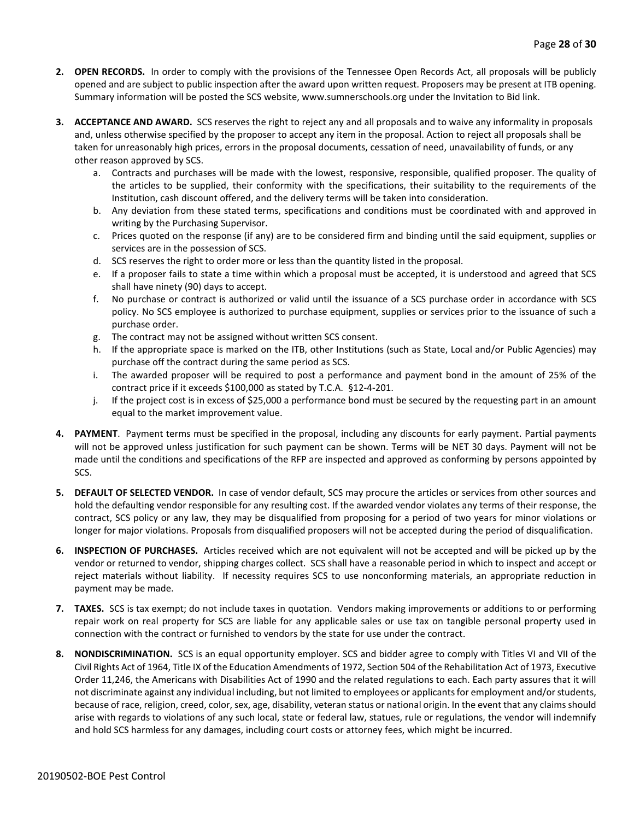- **2. OPEN RECORDS.** In order to comply with the provisions of the Tennessee Open Records Act, all proposals will be publicly opened and are subject to public inspection after the award upon written request. Proposers may be present at ITB opening. Summary information will be posted the SCS website, www.sumnerschools.org under the Invitation to Bid link.
- **3. ACCEPTANCE AND AWARD.** SCS reserves the right to reject any and all proposals and to waive any informality in proposals and, unless otherwise specified by the proposer to accept any item in the proposal. Action to reject all proposals shall be taken for unreasonably high prices, errors in the proposal documents, cessation of need, unavailability of funds, or any other reason approved by SCS.
	- a. Contracts and purchases will be made with the lowest, responsive, responsible, qualified proposer. The quality of the articles to be supplied, their conformity with the specifications, their suitability to the requirements of the Institution, cash discount offered, and the delivery terms will be taken into consideration.
	- b. Any deviation from these stated terms, specifications and conditions must be coordinated with and approved in writing by the Purchasing Supervisor.
	- c. Prices quoted on the response (if any) are to be considered firm and binding until the said equipment, supplies or services are in the possession of SCS.
	- d. SCS reserves the right to order more or less than the quantity listed in the proposal.
	- e. If a proposer fails to state a time within which a proposal must be accepted, it is understood and agreed that SCS shall have ninety (90) days to accept.
	- f. No purchase or contract is authorized or valid until the issuance of a SCS purchase order in accordance with SCS policy. No SCS employee is authorized to purchase equipment, supplies or services prior to the issuance of such a purchase order.
	- g. The contract may not be assigned without written SCS consent.
	- h. If the appropriate space is marked on the ITB, other Institutions (such as State, Local and/or Public Agencies) may purchase off the contract during the same period as SCS.
	- i. The awarded proposer will be required to post a performance and payment bond in the amount of 25% of the contract price if it exceeds \$100,000 as stated by T.C.A. §12-4-201.
	- j. If the project cost is in excess of \$25,000 a performance bond must be secured by the requesting part in an amount equal to the market improvement value.
- **4. PAYMENT**. Payment terms must be specified in the proposal, including any discounts for early payment. Partial payments will not be approved unless justification for such payment can be shown. Terms will be NET 30 days. Payment will not be made until the conditions and specifications of the RFP are inspected and approved as conforming by persons appointed by SCS.
- **5. DEFAULT OF SELECTED VENDOR.** In case of vendor default, SCS may procure the articles or services from other sources and hold the defaulting vendor responsible for any resulting cost. If the awarded vendor violates any terms of their response, the contract, SCS policy or any law, they may be disqualified from proposing for a period of two years for minor violations or longer for major violations. Proposals from disqualified proposers will not be accepted during the period of disqualification.
- **6. INSPECTION OF PURCHASES.** Articles received which are not equivalent will not be accepted and will be picked up by the vendor or returned to vendor, shipping charges collect. SCS shall have a reasonable period in which to inspect and accept or reject materials without liability. If necessity requires SCS to use nonconforming materials, an appropriate reduction in payment may be made.
- **7. TAXES.** SCS is tax exempt; do not include taxes in quotation. Vendors making improvements or additions to or performing repair work on real property for SCS are liable for any applicable sales or use tax on tangible personal property used in connection with the contract or furnished to vendors by the state for use under the contract.
- **8. NONDISCRIMINATION.** SCS is an equal opportunity employer. SCS and bidder agree to comply with Titles VI and VII of the Civil Rights Act of 1964, Title IX of the Education Amendments of 1972, Section 504 of the Rehabilitation Act of 1973, Executive Order 11,246, the Americans with Disabilities Act of 1990 and the related regulations to each. Each party assures that it will not discriminate against any individual including, but not limited to employees or applicants for employment and/or students, because of race, religion, creed, color, sex, age, disability, veteran status or national origin. In the event that any claims should arise with regards to violations of any such local, state or federal law, statues, rule or regulations, the vendor will indemnify and hold SCS harmless for any damages, including court costs or attorney fees, which might be incurred.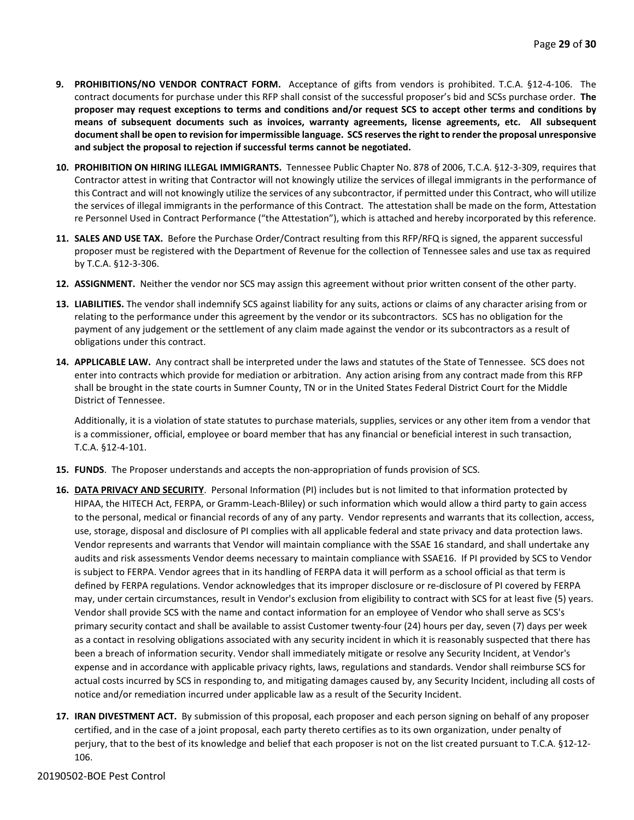- **9. PROHIBITIONS/NO VENDOR CONTRACT FORM.** Acceptance of gifts from vendors is prohibited. T.C.A. §12-4-106. The contract documents for purchase under this RFP shall consist of the successful proposer's bid and SCSs purchase order. **The proposer may request exceptions to terms and conditions and/or request SCS to accept other terms and conditions by means of subsequent documents such as invoices, warranty agreements, license agreements, etc. All subsequent document shall be open to revision for impermissible language. SCS reserves the right to render the proposal unresponsive and subject the proposal to rejection if successful terms cannot be negotiated.**
- **10. PROHIBITION ON HIRING ILLEGAL IMMIGRANTS.** Tennessee Public Chapter No. 878 of 2006, T.C.A. §12-3-309, requires that Contractor attest in writing that Contractor will not knowingly utilize the services of illegal immigrants in the performance of this Contract and will not knowingly utilize the services of any subcontractor, if permitted under this Contract, who will utilize the services of illegal immigrants in the performance of this Contract. The attestation shall be made on the form, Attestation re Personnel Used in Contract Performance ("the Attestation"), which is attached and hereby incorporated by this reference.
- **11. SALES AND USE TAX.** Before the Purchase Order/Contract resulting from this RFP/RFQ is signed, the apparent successful proposer must be registered with the Department of Revenue for the collection of Tennessee sales and use tax as required by T.C.A. §12-3-306.
- **12. ASSIGNMENT.** Neither the vendor nor SCS may assign this agreement without prior written consent of the other party.
- **13. LIABILITIES.** The vendor shall indemnify SCS against liability for any suits, actions or claims of any character arising from or relating to the performance under this agreement by the vendor or its subcontractors. SCS has no obligation for the payment of any judgement or the settlement of any claim made against the vendor or its subcontractors as a result of obligations under this contract.
- **14. APPLICABLE LAW.** Any contract shall be interpreted under the laws and statutes of the State of Tennessee. SCS does not enter into contracts which provide for mediation or arbitration. Any action arising from any contract made from this RFP shall be brought in the state courts in Sumner County, TN or in the United States Federal District Court for the Middle District of Tennessee.

Additionally, it is a violation of state statutes to purchase materials, supplies, services or any other item from a vendor that is a commissioner, official, employee or board member that has any financial or beneficial interest in such transaction, T.C.A. §12-4-101.

- **15. FUNDS**. The Proposer understands and accepts the non-appropriation of funds provision of SCS.
- **16. DATA PRIVACY AND SECURITY**. Personal Information (PI) includes but is not limited to that information protected by HIPAA, the HITECH Act, FERPA, or Gramm-Leach-Bliley) or such information which would allow a third party to gain access to the personal, medical or financial records of any of any party. Vendor represents and warrants that its collection, access, use, storage, disposal and disclosure of PI complies with all applicable federal and state privacy and data protection laws. Vendor represents and warrants that Vendor will maintain compliance with the SSAE 16 standard, and shall undertake any audits and risk assessments Vendor deems necessary to maintain compliance with SSAE16. If PI provided by SCS to Vendor is subject to FERPA. Vendor agrees that in its handling of FERPA data it will perform as a school official as that term is defined by FERPA regulations. Vendor acknowledges that its improper disclosure or re-disclosure of PI covered by FERPA may, under certain circumstances, result in Vendor's exclusion from eligibility to contract with SCS for at least five (5) years. Vendor shall provide SCS with the name and contact information for an employee of Vendor who shall serve as SCS's primary security contact and shall be available to assist Customer twenty-four (24) hours per day, seven (7) days per week as a contact in resolving obligations associated with any security incident in which it is reasonably suspected that there has been a breach of information security. Vendor shall immediately mitigate or resolve any Security Incident, at Vendor's expense and in accordance with applicable privacy rights, laws, regulations and standards. Vendor shall reimburse SCS for actual costs incurred by SCS in responding to, and mitigating damages caused by, any Security Incident, including all costs of notice and/or remediation incurred under applicable law as a result of the Security Incident.
- **17. IRAN DIVESTMENT ACT.** By submission of this proposal, each proposer and each person signing on behalf of any proposer certified, and in the case of a joint proposal, each party thereto certifies as to its own organization, under penalty of perjury, that to the best of its knowledge and belief that each proposer is not on the list created pursuant to T.C.A. §12-12- 106.